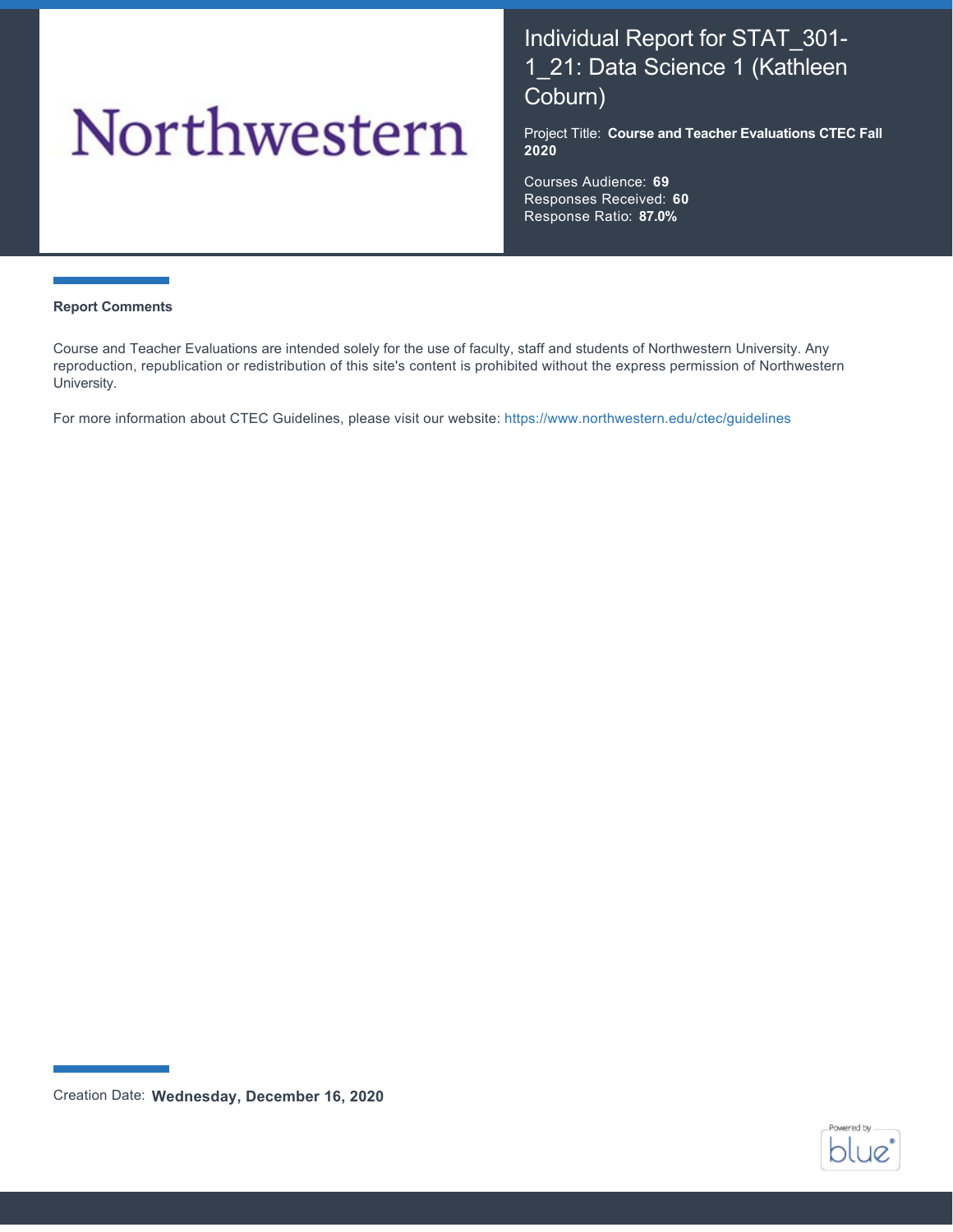# Northwestern

# Individual Report for STAT\_301- 1\_21: Data Science 1 (Kathleen Coburn)

Project Title: **Course and Teacher Evaluations CTEC Fall 2020**

Courses Audience: **69** Responses Received: **60** Response Ratio: **87.0%**

#### **Report Comments**

Course and Teacher Evaluations are intended solely for the use of faculty, staff and students of Northwestern University. Any reproduction, republication or redistribution of this site's content is prohibited without the express permission of Northwestern University.

For more information about CTEC Guidelines, please visit our website:<https://www.northwestern.edu/ctec/guidelines>



Creation Date: **Wednesday, December 16, 2020**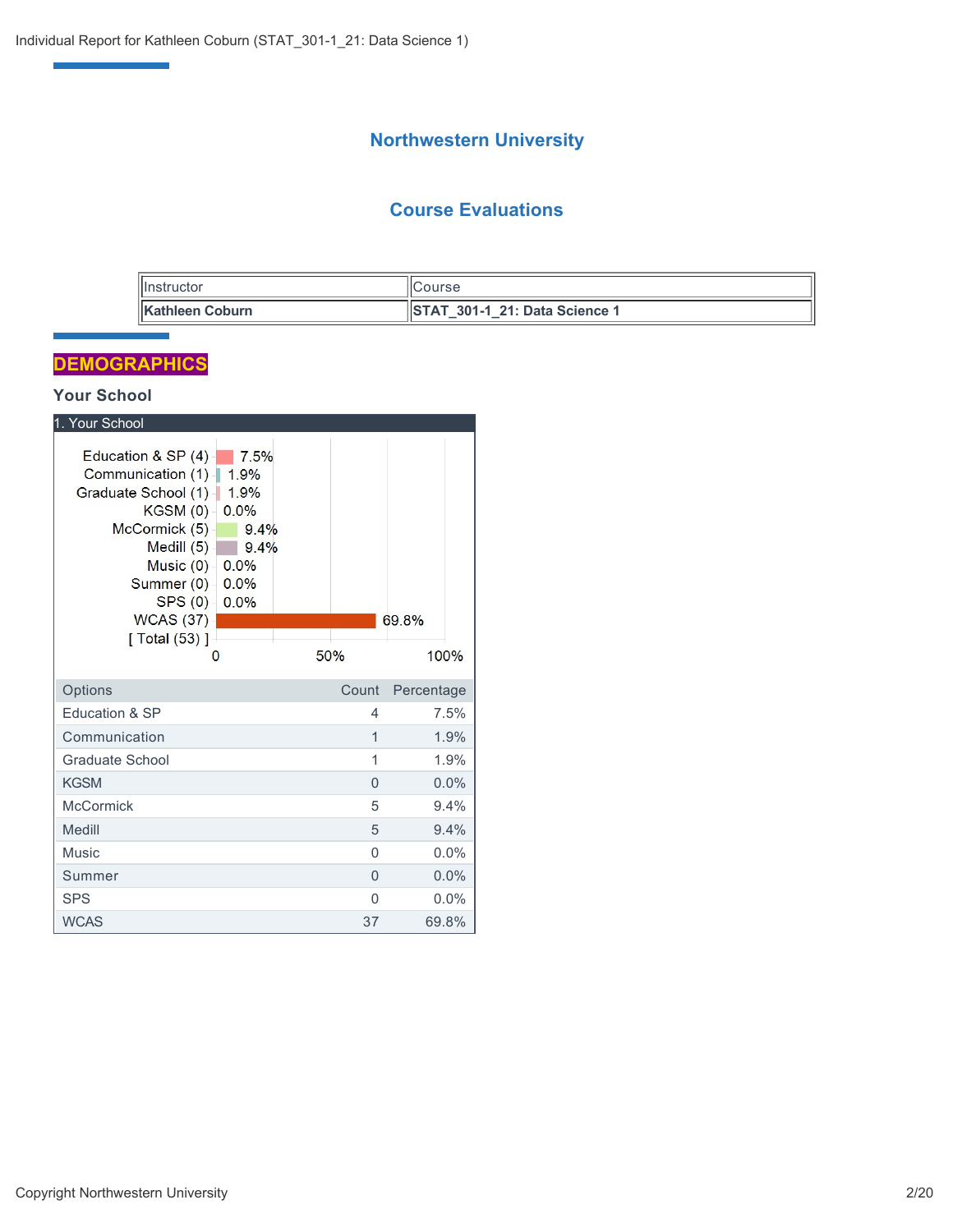# **Northwestern University**

## **Course Evaluations**

| nstructor               | 'ICourse                                           |
|-------------------------|----------------------------------------------------|
| <b>∥Kathleen Coburn</b> | <b>IISTAT</b><br><b>5 301-1 21: Data Science 1</b> |

# **DEMOGRAPHICS**

Ŧ

## **Your School**

| 1. Your School                                                                                                                                                                             |                                                                      |                |            |
|--------------------------------------------------------------------------------------------------------------------------------------------------------------------------------------------|----------------------------------------------------------------------|----------------|------------|
| Education & SP (4)<br>Communication (1)<br>Graduate School (1)-<br>KGSM(0)<br>McCormick (5)<br>Medill $(5)$<br>Music $(0)$<br>Summer (0) -<br>SPS(0)<br><b>WCAS (37)</b><br>[ Total (53) ] | 7.5%<br>1.9%<br>1.9%<br>0.0%<br>9.4%<br>9.4%<br>0.0%<br>0.0%<br>0.0% |                | 69.8%      |
| O                                                                                                                                                                                          |                                                                      | 50%            | 100%       |
| Options                                                                                                                                                                                    |                                                                      | Count          | Percentage |
| Education & SP                                                                                                                                                                             |                                                                      | 4              | 7.5%       |
| Communication                                                                                                                                                                              |                                                                      | $\mathbf{1}$   | 1.9%       |
| Graduate School                                                                                                                                                                            |                                                                      | 1              | 1.9%       |
| <b>KGSM</b>                                                                                                                                                                                |                                                                      | $\overline{0}$ | $0.0\%$    |
| <b>McCormick</b>                                                                                                                                                                           |                                                                      | 5              | 9.4%       |
| Medill                                                                                                                                                                                     |                                                                      | 5              | 9.4%       |
| <b>Music</b>                                                                                                                                                                               |                                                                      | 0              | 0.0%       |
| Summer                                                                                                                                                                                     |                                                                      | $\Omega$       | 0.0%       |
| <b>SPS</b>                                                                                                                                                                                 |                                                                      | $\Omega$       | $0.0\%$    |
| <b>WCAS</b>                                                                                                                                                                                |                                                                      | 37             | 69.8%      |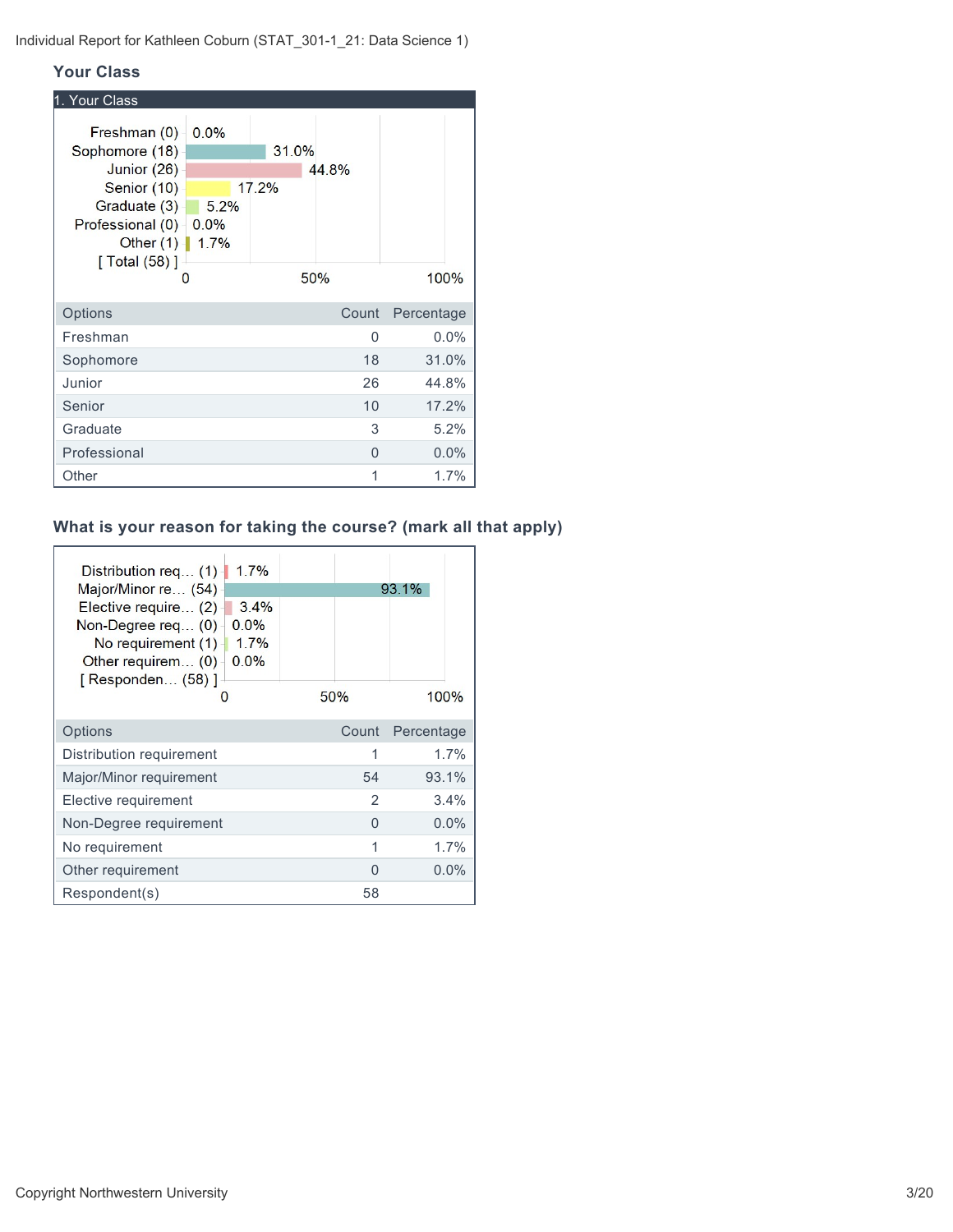#### **Your Class**

| 1. Your Class                                                                                                                                         |                       |       |          |            |  |
|-------------------------------------------------------------------------------------------------------------------------------------------------------|-----------------------|-------|----------|------------|--|
| Freshman (0)<br>Sophomore (18)<br>Junior (26)<br>Senior (10)<br>Graduate (3)-<br>Professional (0) - 0.0%<br>Other $(1)$ 1.7%<br>$\lceil$ Total (58) ] | 0.0%<br>17.2%<br>5.2% | 31.0% | 44.8%    |            |  |
|                                                                                                                                                       | O                     |       | 50%      | 100%       |  |
| Options                                                                                                                                               |                       |       | Count    | Percentage |  |
| Freshman                                                                                                                                              |                       |       | 0        | 0.0%       |  |
| Sophomore                                                                                                                                             |                       |       | 18       | 31.0%      |  |
| Junior                                                                                                                                                |                       |       | 26       | 44.8%      |  |
| Senior                                                                                                                                                |                       |       | 10       | 17.2%      |  |
| Graduate                                                                                                                                              |                       |       | 3        | 5.2%       |  |
| Professional                                                                                                                                          |                       |       | $\Omega$ | 0.0%       |  |
| Other                                                                                                                                                 |                       |       | 1        | 1.7%       |  |

## **What is your reason for taking the course? (mark all that apply)**

| 1.7%<br>Distribution req (1)<br>Major/Minor re (54)<br>Elective require (2)<br>3.4%<br>0.0%<br>Non-Degree req $(0)$<br>1.7%<br>No requirement $(1)$<br>0.0%<br>Other requirem (0)<br>[ Responden (58) ]<br>0 | 50%            | 93.1%<br>100% |
|--------------------------------------------------------------------------------------------------------------------------------------------------------------------------------------------------------------|----------------|---------------|
| Options                                                                                                                                                                                                      | Count          | Percentage    |
| Distribution requirement                                                                                                                                                                                     | 1              | 1.7%          |
| Major/Minor requirement                                                                                                                                                                                      | 54             | 93.1%         |
| Elective requirement                                                                                                                                                                                         | $\mathfrak{D}$ | $3.4\%$       |
| Non-Degree requirement                                                                                                                                                                                       | 0              | $0.0\%$       |
| No requirement                                                                                                                                                                                               | 1              | 1.7%          |
| Other requirement                                                                                                                                                                                            | O              | $0.0\%$       |
| Respondent(s)                                                                                                                                                                                                | 58             |               |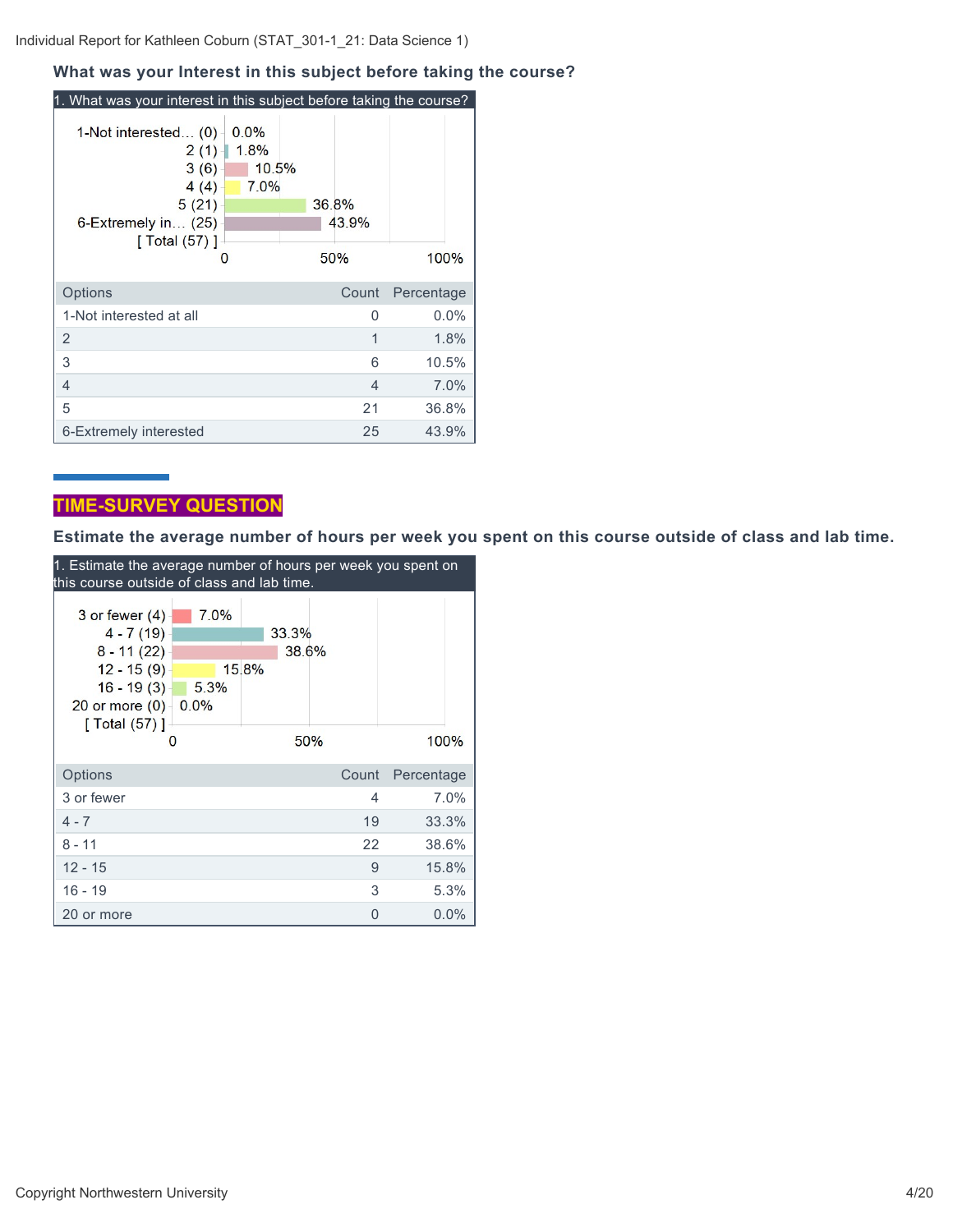#### Individual Report for Kathleen Coburn (STAT\_301-1\_21: Data Science 1)

#### **What was your Interest in this subject before taking the course?**

| 1. What was your interest in this subject before taking the course?                                       |                               |                       |            |
|-----------------------------------------------------------------------------------------------------------|-------------------------------|-----------------------|------------|
| 1-Not interested (0)<br>$2(1) -$<br>3(6)<br>4(4)<br>5(21)<br>6-Extremely in (25)<br>[ Total $(57)$ ]<br>O | 0.0%<br>1.8%<br>10.5%<br>7.0% | 36.8%<br>43.9%<br>50% | 100%       |
| Options                                                                                                   |                               | Count                 | Percentage |
| 1-Not interested at all                                                                                   |                               | O                     | 0.0%       |
| 2                                                                                                         |                               | 1                     | 1.8%       |
| 3                                                                                                         |                               | 6                     | 10.5%      |
| $\overline{4}$                                                                                            |                               | 4                     | 7.0%       |
| 5                                                                                                         |                               | 21                    | 36.8%      |
| 6-Extremely interested                                                                                    |                               | 25                    | 43.9%      |

## **TIME-SURVEY QUESTION**

**Estimate the average number of hours per week you spent on this course outside of class and lab time.**

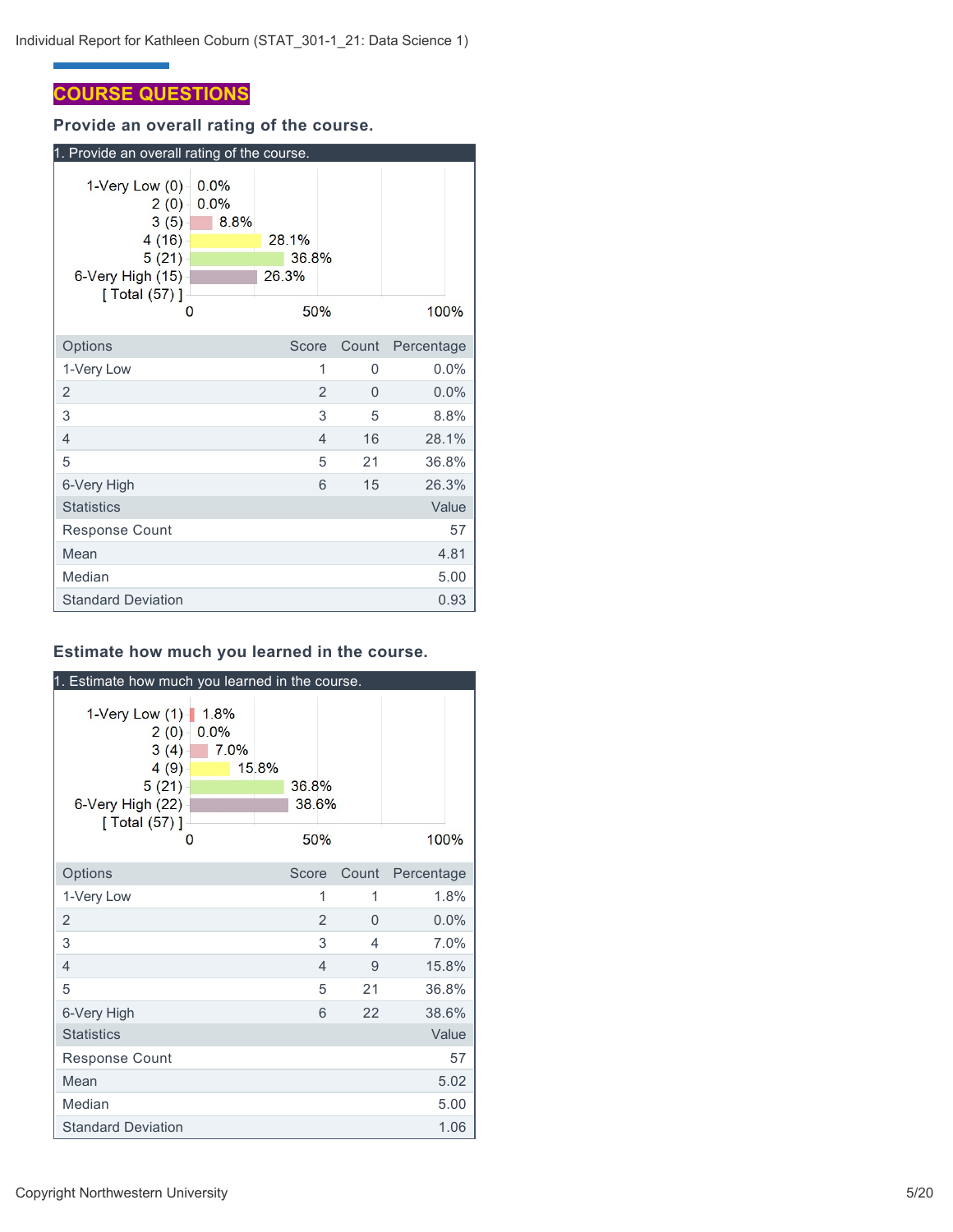## **COURSE QUESTIONS**

**Provide an overall rating of the course.**

| 1. Provide an overall rating of the course.                                                      |                      |                         |                |       |            |  |
|--------------------------------------------------------------------------------------------------|----------------------|-------------------------|----------------|-------|------------|--|
| $1$ -Very Low $(0)$<br>2(0)<br>3(5)<br>4(16)<br>5(21)<br>6-Very High (15)<br>[ Total (57) ]<br>О | 0.0%<br>0.0%<br>8.8% | 28.1%<br>36.8%<br>26.3% | 50%            |       | 100%       |  |
| Options                                                                                          |                      | Score                   |                | Count | Percentage |  |
| 1-Very Low                                                                                       |                      |                         | 1              | 0     | $0.0\%$    |  |
| $\overline{2}$                                                                                   |                      |                         | $\overline{2}$ | 0     | 0.0%       |  |
| 3                                                                                                |                      |                         | 3              | 5     | 8.8%       |  |
| 4                                                                                                |                      |                         | 4              | 16    | 28.1%      |  |
| 5                                                                                                |                      |                         | 5              | 21    | 36.8%      |  |
| 6-Very High                                                                                      |                      |                         | 6              | 15    | 26.3%      |  |
| <b>Statistics</b>                                                                                |                      |                         |                |       | Value      |  |
| <b>Response Count</b>                                                                            |                      |                         |                |       | 57         |  |
| Mean                                                                                             |                      |                         |                |       | 4.81       |  |
| Median                                                                                           |                      |                         |                |       | 5.00       |  |
| <b>Standard Deviation</b>                                                                        |                      |                         |                |       | 0.93       |  |

## **Estimate how much you learned in the course.**

| 1. Estimate how much you learned in the course.                                             |                      |       |                       |                |                          |            |
|---------------------------------------------------------------------------------------------|----------------------|-------|-----------------------|----------------|--------------------------|------------|
| 1-Very Low (1)-<br>2(0)<br>3(4)<br>4(9)<br>5(21)<br>6-Very High (22)<br>[ Total (57) ]<br>O | 1.8%<br>0.0%<br>7.0% | 15.8% | 36.8%<br>38.6%<br>50% |                |                          | 100%       |
| Options                                                                                     |                      |       | Score                 |                | Count                    | Percentage |
| 1-Very Low                                                                                  |                      |       |                       | 1              | 1                        | 1.8%       |
| $\overline{2}$                                                                              |                      |       |                       | $\overline{2}$ | $\Omega$                 | 0.0%       |
| 3                                                                                           |                      |       |                       | 3              | $\overline{\mathcal{A}}$ | 7.0%       |
| $\overline{4}$                                                                              |                      |       |                       | $\overline{4}$ | 9                        | 15.8%      |
| 5                                                                                           |                      |       |                       | 5              | 21                       | 36.8%      |
| 6-Very High                                                                                 |                      |       |                       | 6              | 22                       | 38.6%      |
| <b>Statistics</b>                                                                           |                      |       |                       |                |                          | Value      |
| Response Count                                                                              |                      |       |                       |                |                          | 57         |
| Mean                                                                                        |                      |       |                       |                |                          | 5.02       |
| Median                                                                                      |                      |       |                       |                |                          | 5.00       |
| <b>Standard Deviation</b>                                                                   |                      |       |                       |                |                          | 1.06       |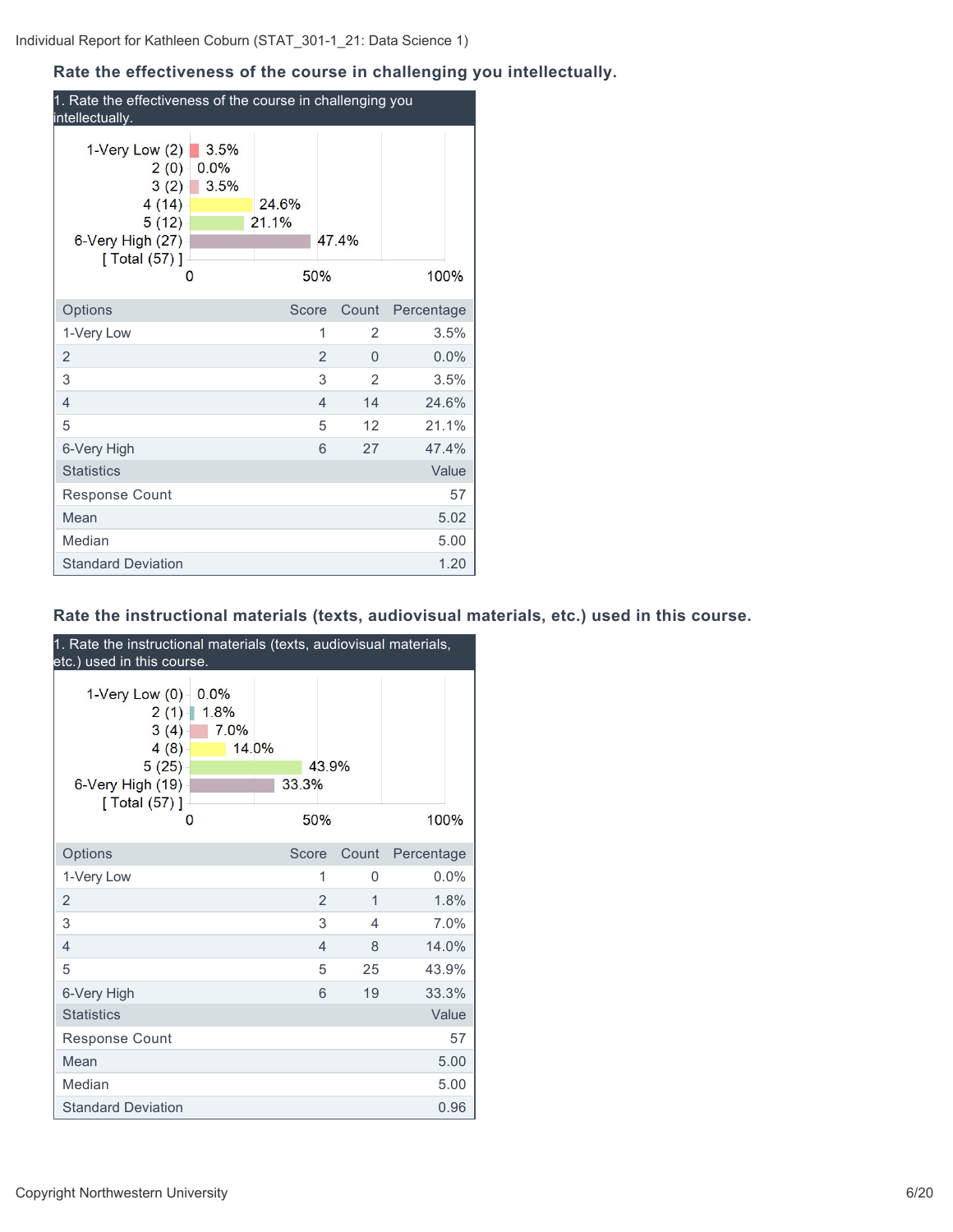## **Rate the effectiveness of the course in challenging you intellectually.**

| 1. Rate the effectiveness of the course in challenging you<br>intellectually.            |                      |                |                |                |            |       |
|------------------------------------------------------------------------------------------|----------------------|----------------|----------------|----------------|------------|-------|
| 1-Very Low $(2)$<br>2(0)<br>3(2)<br>4(14)<br>5(12)<br>6-Very High (27)<br>[ Total (57) ] | 3.5%<br>0.0%<br>3.5% | 24.6%<br>21.1% |                | 474%           |            |       |
| 0                                                                                        |                      |                | 50%            |                | 100%       |       |
| Options                                                                                  |                      | Score          |                | Count          | Percentage |       |
| 1-Very Low                                                                               |                      |                | 1              | 2              |            | 3.5%  |
| $\overline{2}$                                                                           |                      |                | 2              | $\Omega$       |            | 0.0%  |
| 3                                                                                        |                      |                | 3              | $\overline{2}$ |            | 3.5%  |
| 4                                                                                        |                      |                | $\overline{4}$ | 14             | 24.6%      |       |
| 5                                                                                        |                      |                | 5              | 12             |            | 21.1% |
| 6-Very High                                                                              |                      |                | 6              | 27             |            | 47.4% |
| <b>Statistics</b>                                                                        |                      |                |                |                |            | Value |
| <b>Response Count</b>                                                                    |                      |                |                |                |            | 57    |
| Mean                                                                                     |                      |                |                |                |            | 5.02  |
| Median                                                                                   |                      |                |                |                |            | 5.00  |
| <b>Standard Deviation</b>                                                                |                      |                |                |                |            | 1.20  |

## **Rate the instructional materials (texts, audiovisual materials, etc.) used in this course.**

| 1. Rate the instructional materials (texts, audiovisual materials,<br>etc.) used in this course. |                      |       |                |       |            |
|--------------------------------------------------------------------------------------------------|----------------------|-------|----------------|-------|------------|
| 1-Very Low $(0)$<br>2(1)<br>3(4)<br>4(8)<br>5(25)<br>6-Very High (19)<br>[ Total (57) ]          | 0.0%<br>1.8%<br>7.0% | 14.0% | 43.9%<br>33.3% |       |            |
| O                                                                                                |                      |       | 50%            |       | 100%       |
| Options                                                                                          |                      |       | Score          | Count | Percentage |
| 1-Very Low                                                                                       |                      |       | 1              | 0     | $0.0\%$    |
| $\overline{2}$                                                                                   |                      |       | $\overline{2}$ | 1     | 1.8%       |
| 3                                                                                                |                      |       | 3              | 4     | 7.0%       |
| $\overline{4}$                                                                                   |                      |       | $\overline{4}$ | 8     | 14.0%      |
| 5                                                                                                |                      |       | 5              | 25    | 43.9%      |
| 6-Very High                                                                                      |                      |       | 6              | 19    | 33.3%      |
| <b>Statistics</b>                                                                                |                      |       |                |       | Value      |
| Response Count                                                                                   |                      |       |                |       | 57         |
| Mean                                                                                             |                      |       |                |       | 5.00       |
| Median                                                                                           |                      |       |                |       | 5.00       |
| <b>Standard Deviation</b>                                                                        |                      |       |                |       | 0.96       |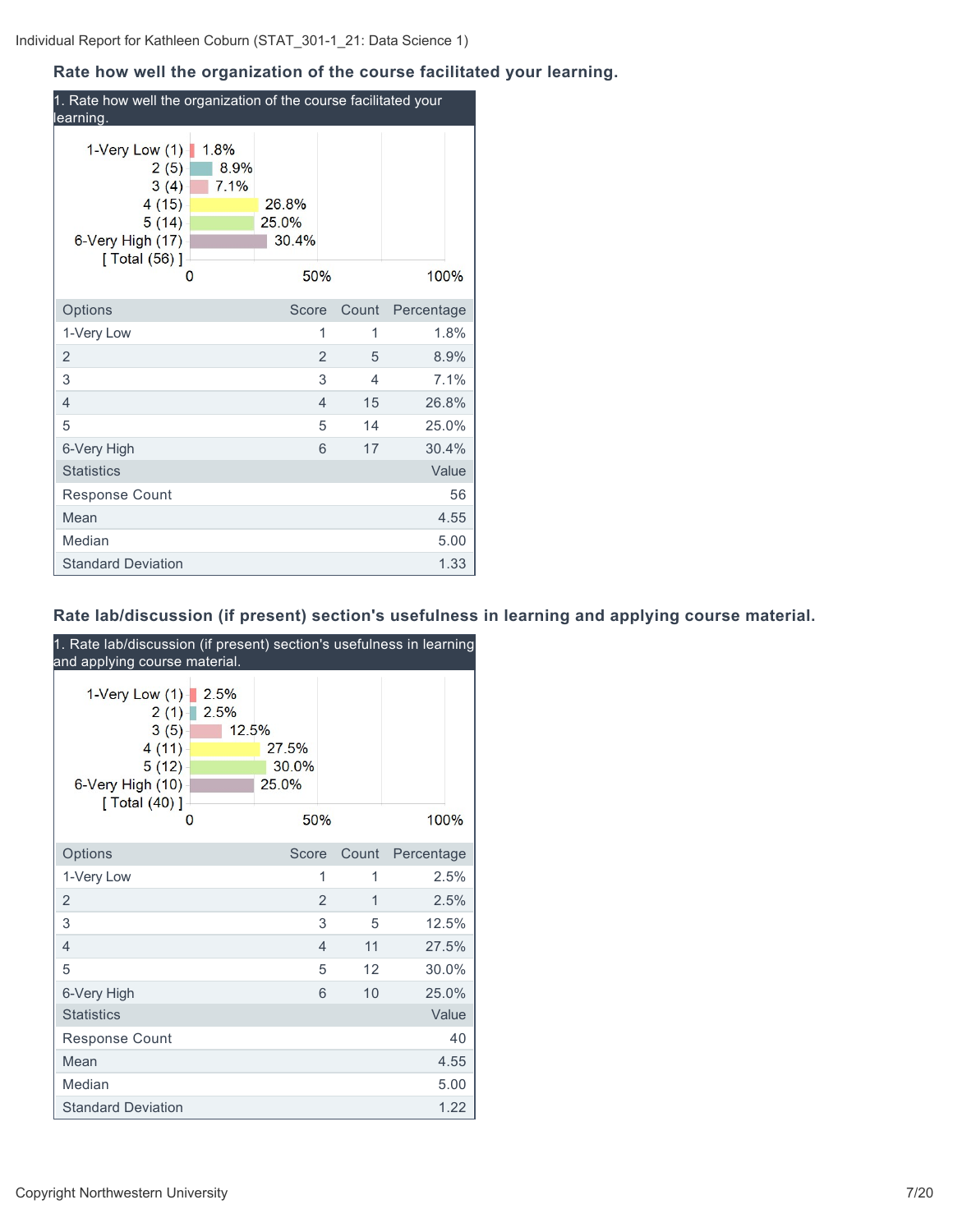## **Rate how well the organization of the course facilitated your learning.**

| 1. Rate how well the organization of the course facilitated your<br>learning.                                    |                         |                      |            |  |  |
|------------------------------------------------------------------------------------------------------------------|-------------------------|----------------------|------------|--|--|
| 1-Very Low $(1)$<br>1.8%<br>8.9%<br>2(5)<br>7.1%<br>3(4)<br>4(15)<br>5(14)<br>6-Very High (17)<br>[ Total (56) ] | 26.8%<br>25.0%<br>30.4% |                      |            |  |  |
| 0                                                                                                                | 50%                     |                      | 100%       |  |  |
| Options                                                                                                          | Score                   | Count                | Percentage |  |  |
| 1-Very Low                                                                                                       |                         | 1<br>1               | 1.8%       |  |  |
| $\overline{2}$                                                                                                   |                         | $\overline{2}$<br>5  | 8.9%       |  |  |
| 3                                                                                                                |                         | 3<br>4               | 7.1%       |  |  |
| 4                                                                                                                |                         | 15<br>$\overline{4}$ | 26.8%      |  |  |
| 5                                                                                                                |                         | 5<br>14              | 25.0%      |  |  |
| 6-Very High                                                                                                      |                         | 6<br>17              | 30.4%      |  |  |
| <b>Statistics</b>                                                                                                |                         |                      | Value      |  |  |
| Response Count                                                                                                   |                         |                      | 56         |  |  |
| Mean                                                                                                             |                         |                      | 4.55       |  |  |
| Median                                                                                                           |                         |                      | 5.00       |  |  |
| <b>Standard Deviation</b>                                                                                        |                         |                      | 1.33       |  |  |

## **Rate lab/discussion (if present) section's usefulness in learning and applying course material.**

| 1. Rate lab/discussion (if present) section's usefulness in learning<br>and applying course material. |                       |                                |                |       |            |  |
|-------------------------------------------------------------------------------------------------------|-----------------------|--------------------------------|----------------|-------|------------|--|
| 1-Very Low $(1)$<br>2(1)<br>3(5)<br>4(11)<br>5(12)<br>6-Very High (10)<br>[ Total (40) ]<br>O         | 2.5%<br>2.5%<br>12.5% | 27.5%<br>30.0%<br>25.0%<br>50% |                |       | 100%       |  |
| Options                                                                                               |                       | Score                          |                | Count | Percentage |  |
| 1-Very Low                                                                                            |                       |                                | 1              | 1     | 2.5%       |  |
| 2                                                                                                     |                       |                                | $\overline{2}$ | 1     | 2.5%       |  |
| 3                                                                                                     |                       |                                | 3              | 5     | 12.5%      |  |
| $\overline{4}$                                                                                        |                       |                                | $\overline{4}$ | 11    | 27.5%      |  |
| 5                                                                                                     |                       |                                | 5              | 12    | 30.0%      |  |
| 6-Very High                                                                                           |                       |                                | 6              | 10    | 25.0%      |  |
| <b>Statistics</b>                                                                                     |                       |                                |                |       | Value      |  |
| Response Count                                                                                        |                       |                                |                |       | 40         |  |
| Mean                                                                                                  |                       |                                |                |       | 4.55       |  |
| Median                                                                                                |                       |                                |                |       | 5.00       |  |
| <b>Standard Deviation</b>                                                                             |                       |                                |                |       | 1.22       |  |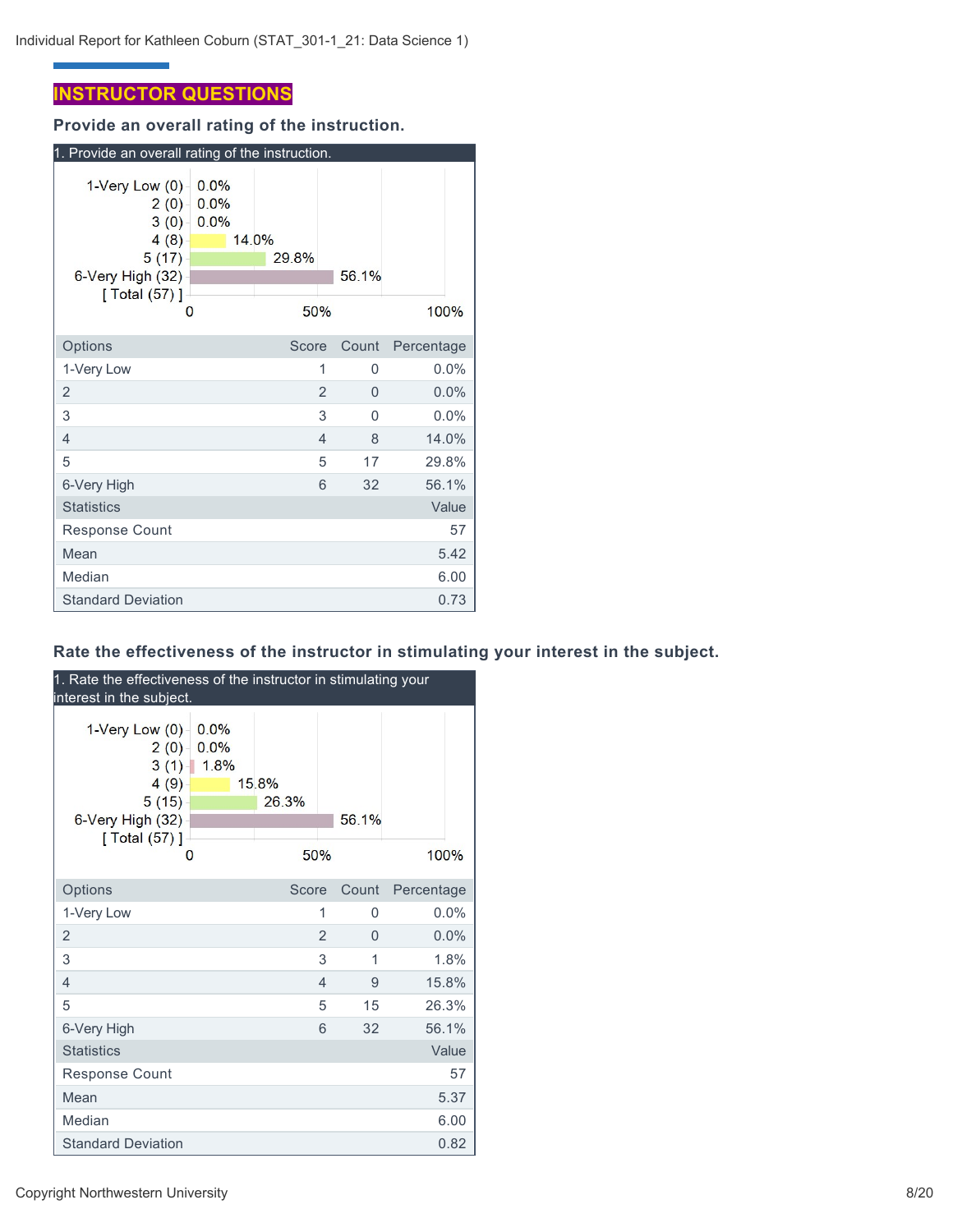## **INSTRUCTOR QUESTIONS**

**Provide an overall rating of the instruction.**

| 1. Provide an overall rating of the instruction.                                                      |                      |                       |   |          |            |
|-------------------------------------------------------------------------------------------------------|----------------------|-----------------------|---|----------|------------|
| $1$ -Very Low $(0)$<br>$2(0) -$<br>3(0)<br>4(8)<br>5(17)<br>6-Very High (32)<br>[ $Total (57)$ ]<br>O | 0.0%<br>0.0%<br>0.0% | 14.0%<br>29.8%<br>50% |   | 56.1%    | 100%       |
| Options                                                                                               |                      | Score                 |   | Count    | Percentage |
| 1-Very Low                                                                                            |                      |                       | 1 | 0        | $0.0\%$    |
| 2                                                                                                     |                      |                       | 2 | 0        | 0.0%       |
| 3                                                                                                     |                      |                       | 3 | $\Omega$ | 0.0%       |
| 4                                                                                                     |                      |                       | 4 | 8        | 14.0%      |
| 5                                                                                                     |                      |                       | 5 | 17       | 29.8%      |
| 6-Very High                                                                                           |                      |                       | 6 | 32       | 56.1%      |
| <b>Statistics</b>                                                                                     |                      |                       |   |          | Value      |
| Response Count                                                                                        |                      |                       |   |          | 57         |
| Mean                                                                                                  |                      |                       |   |          | 5.42       |
| Median                                                                                                |                      |                       |   |          | 6.00       |
| <b>Standard Deviation</b>                                                                             |                      |                       |   |          | 0.73       |

## **Rate the effectiveness of the instructor in stimulating your interest in the subject.**

| 1. Rate the effectiveness of the instructor in stimulating your<br>interest in the subject.        |                           |                       |                |          |            |         |  |
|----------------------------------------------------------------------------------------------------|---------------------------|-----------------------|----------------|----------|------------|---------|--|
| 1-Very Low $(0)$<br>2(0)<br>3(1)<br>4(9)<br>5(15)<br>$6$ -Very High $(32)$<br>$\sqrt{[Total(57)]}$ | 0.0%<br>0.0%<br>1.8%<br>0 | 15.8%<br>26.3%<br>50% |                | 56.1%    |            | 100%    |  |
| Options                                                                                            |                           | Score                 |                | Count    | Percentage |         |  |
| 1-Very Low                                                                                         |                           |                       | 1              | $\Omega$ |            | 0.0%    |  |
| $\overline{2}$                                                                                     |                           |                       | $\overline{2}$ | $\Omega$ |            | $0.0\%$ |  |
| 3                                                                                                  |                           |                       | 3              | 1        |            | 1.8%    |  |
| $\overline{4}$                                                                                     |                           |                       | $\overline{4}$ | 9        |            | 15.8%   |  |
| 5                                                                                                  |                           |                       | 5              | 15       |            | 26.3%   |  |
| 6-Very High                                                                                        |                           |                       | 6              | 32       |            | 56.1%   |  |
| <b>Statistics</b>                                                                                  |                           |                       |                |          |            | Value   |  |
| <b>Response Count</b>                                                                              |                           |                       |                |          |            | 57      |  |
| Mean                                                                                               |                           |                       |                |          |            | 5.37    |  |
| Median                                                                                             |                           |                       |                |          |            | 6.00    |  |
| <b>Standard Deviation</b>                                                                          |                           |                       |                |          |            | 0.82    |  |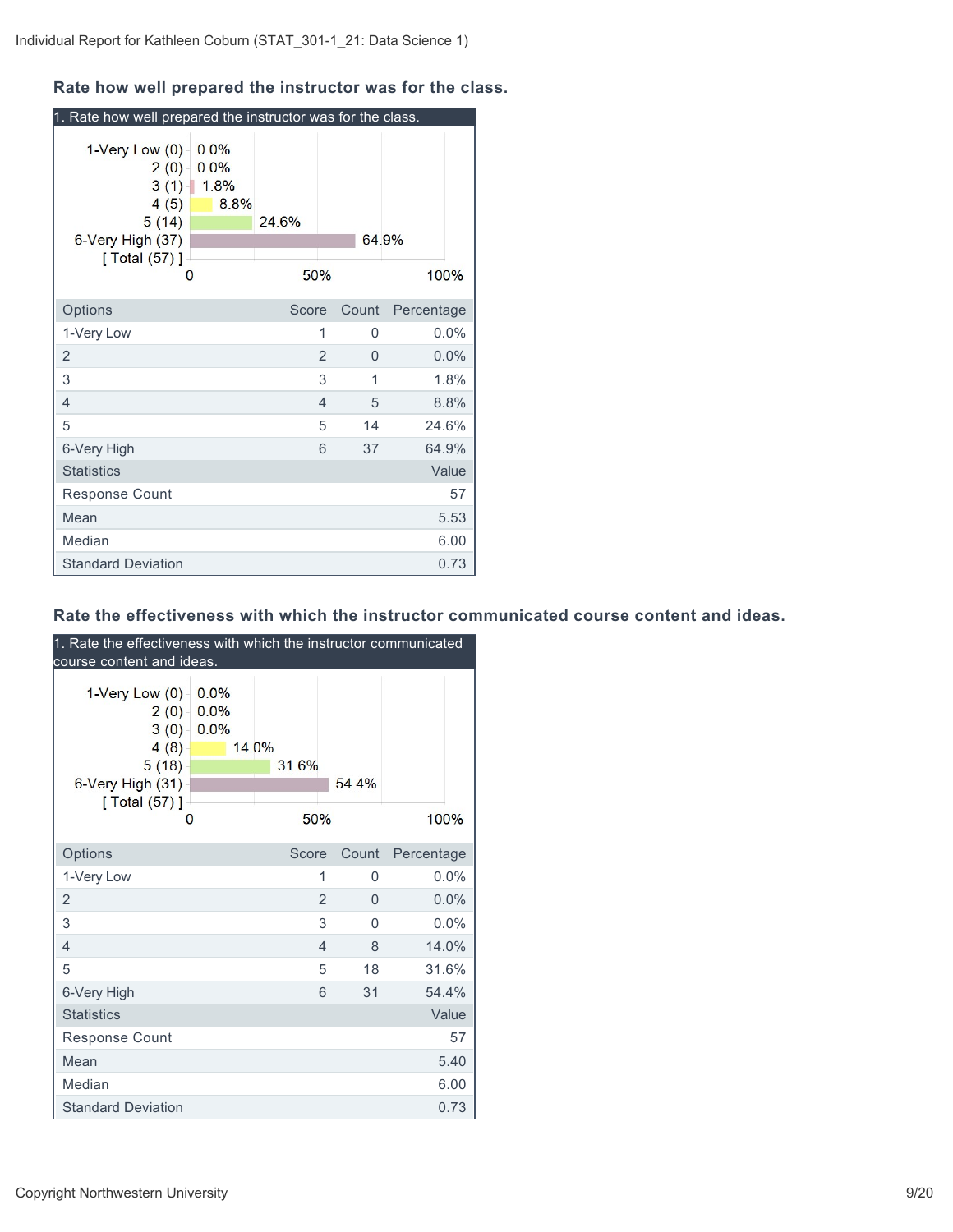## **Rate how well prepared the instructor was for the class.**

| 1. Rate how well prepared the instructor was for the class.                              |                                     |              |                |       |            |         |
|------------------------------------------------------------------------------------------|-------------------------------------|--------------|----------------|-------|------------|---------|
| 1-Very Low (0)<br>$2(0) -$<br>$4(5) -$<br>5(14)<br>6-Very High (37)<br>[Total (57)]<br>0 | 0.0%<br>0.0%<br>$3(1)$ 1.8%<br>8.8% | 24.6%<br>50% |                |       | 64.9%      | 100%    |
| Options                                                                                  |                                     | Score        |                | Count | Percentage |         |
| 1-Very Low                                                                               |                                     |              | 1              | 0     |            | $0.0\%$ |
| $\overline{2}$                                                                           |                                     |              | $\overline{2}$ | 0     |            | 0.0%    |
| 3                                                                                        |                                     |              | 3              | 1     |            | 1.8%    |
| 4                                                                                        |                                     |              | $\overline{4}$ | 5     |            | 8.8%    |
| 5                                                                                        |                                     |              | 5              | 14    |            | 24.6%   |
| 6-Very High                                                                              |                                     |              | 6              | 37    |            | 64.9%   |
| <b>Statistics</b>                                                                        |                                     |              |                |       |            | Value   |
| Response Count                                                                           |                                     |              |                |       |            | 57      |
| Mean                                                                                     |                                     |              |                |       |            | 5.53    |
| Median                                                                                   |                                     |              |                |       |            | 6.00    |
| <b>Standard Deviation</b>                                                                |                                     |              |                |       |            | 0.73    |

#### **Rate the effectiveness with which the instructor communicated course content and ideas.**

| 1. Rate the effectiveness with which the instructor communicated<br>course content and ideas. |                      |                |                |          |            |
|-----------------------------------------------------------------------------------------------|----------------------|----------------|----------------|----------|------------|
| 1-Very Low $(0)$<br>2(0)<br>3(0)<br>4(8)<br>5(18)<br>6-Very High (31)<br>[ Total (57) ]       | 0.0%<br>0.0%<br>0.0% | 14.0%<br>31.6% |                | 54.4%    |            |
| 0                                                                                             |                      | 50%            |                |          | 100%       |
| Options                                                                                       |                      | Score          |                | Count    | Percentage |
| 1-Very Low                                                                                    |                      |                | 1              | 0        | 0.0%       |
| $\overline{2}$                                                                                |                      |                | $\overline{2}$ | $\Omega$ | 0.0%       |
| 3                                                                                             |                      |                | 3              | $\Omega$ | 0.0%       |
| $\overline{4}$                                                                                |                      |                | $\overline{4}$ | 8        | 14.0%      |
| 5                                                                                             |                      |                | 5              | 18       | 31.6%      |
| 6-Very High                                                                                   |                      |                | 6              | 31       | 54.4%      |
| <b>Statistics</b>                                                                             |                      |                |                |          | Value      |
| Response Count                                                                                |                      |                |                |          | 57         |
| Mean                                                                                          |                      |                |                |          | 5.40       |
| Median                                                                                        |                      |                |                |          | 6.00       |
| <b>Standard Deviation</b>                                                                     |                      |                |                |          | 0.73       |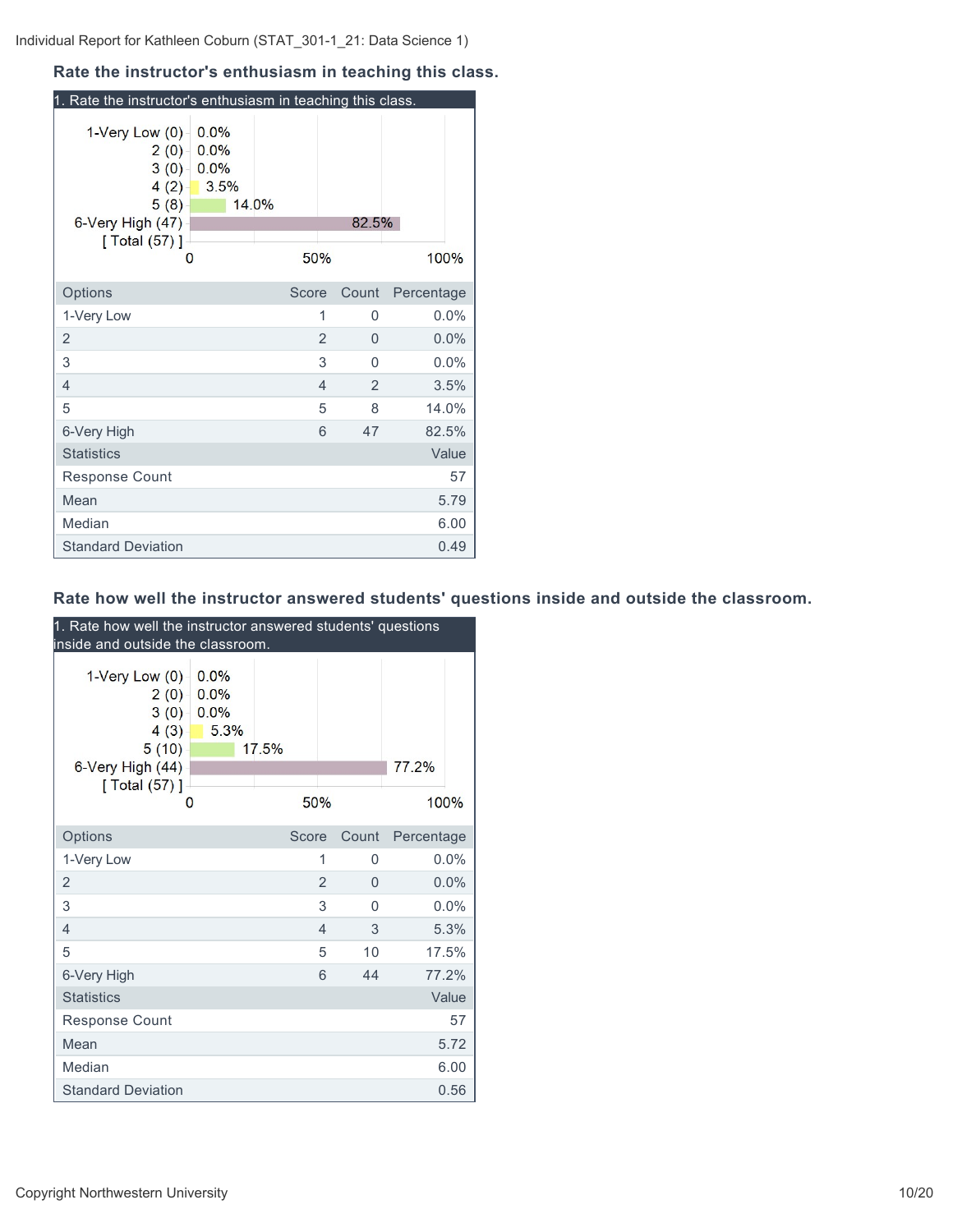### **Rate the instructor's enthusiasm in teaching this class.**

| 1. Rate the instructor's enthusiasm in teaching this class.                               |                              |       |       |       |            |
|-------------------------------------------------------------------------------------------|------------------------------|-------|-------|-------|------------|
| 1-Very Low (0)<br>2(0)<br>3(0)<br>4(2)<br>5(8)<br>6-Very High (47)<br>[ Total (57) ]<br>0 | 0.0%<br>0.0%<br>0.0%<br>3.5% | 14.0% | 50%   | 82.5% | 100%       |
| Options                                                                                   |                              |       | Score | Count | Percentage |
| 1-Very Low                                                                                |                              |       | 1     | 0     | $0.0\%$    |
| 2                                                                                         |                              |       | 2     | 0     | 0.0%       |
| 3                                                                                         |                              |       | 3     | 0     | 0.0%       |
| 4                                                                                         |                              |       | 4     | 2     | 3.5%       |
| 5                                                                                         |                              |       | 5     | 8     | 14.0%      |
| 6-Very High                                                                               |                              |       | 6     | 47    | 82.5%      |
| <b>Statistics</b>                                                                         |                              |       |       |       | Value      |
| <b>Response Count</b>                                                                     |                              |       |       |       | 57         |
| Mean                                                                                      |                              |       |       |       | 5.79       |
| Median                                                                                    |                              |       |       |       | 6.00       |
| <b>Standard Deviation</b>                                                                 |                              |       |       |       | 0.49       |

## **Rate how well the instructor answered students' questions inside and outside the classroom.**

| 1. Rate how well the instructor answered students' questions<br>inside and outside the classroom. |                              |       |     |          |            |       |  |
|---------------------------------------------------------------------------------------------------|------------------------------|-------|-----|----------|------------|-------|--|
| 1-Very Low (0)<br>2(0)<br>3(0)<br>4(3)<br>5(10)<br>6-Very High (44)<br>[ Total (57) ]<br>0        | 0.0%<br>0.0%<br>0.0%<br>5.3% | 17.5% | 50% |          | 77.2%      | 100%  |  |
| Options                                                                                           |                              | Score |     | Count    | Percentage |       |  |
| 1-Very Low                                                                                        |                              |       | 1   | 0        |            | 0.0%  |  |
| 2                                                                                                 |                              |       | 2   | $\Omega$ |            | 0.0%  |  |
| 3                                                                                                 |                              |       | 3   | 0        |            | 0.0%  |  |
| $\overline{4}$                                                                                    |                              |       | 4   | 3        |            | 5.3%  |  |
| 5                                                                                                 |                              |       | 5   | 10       |            | 17.5% |  |
| 6-Very High                                                                                       |                              |       | 6   | 44       |            | 77.2% |  |
| <b>Statistics</b>                                                                                 |                              |       |     |          |            | Value |  |
| <b>Response Count</b>                                                                             |                              |       |     |          |            | 57    |  |
| Mean                                                                                              |                              |       |     |          |            | 5.72  |  |
| Median                                                                                            |                              |       |     |          |            | 6.00  |  |
| <b>Standard Deviation</b>                                                                         |                              |       |     |          |            | 0.56  |  |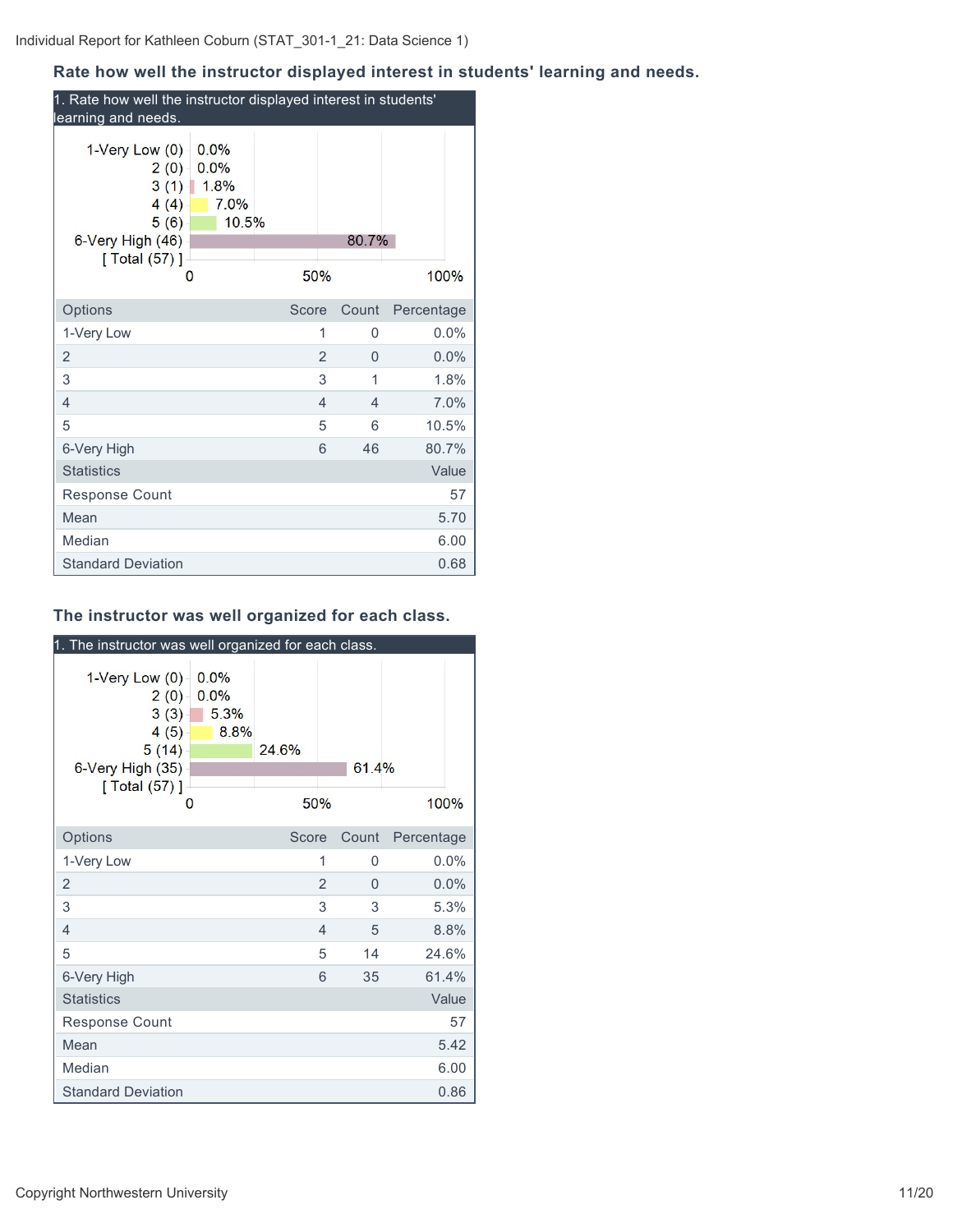## **Rate how well the instructor displayed interest in students' learning and needs.**

| 1. Rate how well the instructor displayed interest in students'<br>learning and needs.                                                     |                |       |            |  |  |  |  |
|--------------------------------------------------------------------------------------------------------------------------------------------|----------------|-------|------------|--|--|--|--|
| $1$ -Very Low $(0)$<br>0.0%<br>0.0%<br>2(0)<br>$3(1)$ 1.8%<br>$4(4) -$<br>7.0%<br>10.5%<br>5(6)<br>6-Very High (46)<br>[ Total (57) ]<br>0 | 50%            | 80.7% | 100%       |  |  |  |  |
| Options                                                                                                                                    | Score          | Count | Percentage |  |  |  |  |
| 1-Very Low                                                                                                                                 | 1              | 0     | 0.0%       |  |  |  |  |
| 2                                                                                                                                          | $\overline{2}$ | 0     | 0.0%       |  |  |  |  |
| 3                                                                                                                                          | 3              | 1     | 1.8%       |  |  |  |  |
| 4                                                                                                                                          | 4              | 4     | 7.0%       |  |  |  |  |
| 5                                                                                                                                          | 5              | 6     | 10.5%      |  |  |  |  |
| 6-Very High                                                                                                                                | 6              | 46    | 80.7%      |  |  |  |  |
| <b>Statistics</b>                                                                                                                          |                |       | Value      |  |  |  |  |
| <b>Response Count</b>                                                                                                                      |                |       | 57         |  |  |  |  |
| Mean                                                                                                                                       |                |       | 5.70       |  |  |  |  |
| Median                                                                                                                                     |                |       | 6.00       |  |  |  |  |
| <b>Standard Deviation</b>                                                                                                                  |                |       | 0.68       |  |  |  |  |

## **The instructor was well organized for each class.**

| 1. The instructor was well organized for each class.                                                |                              |              |                |       |            |
|-----------------------------------------------------------------------------------------------------|------------------------------|--------------|----------------|-------|------------|
| $1$ -Very Low $(0)$<br>$2(0) -$<br>3(3)<br>4(5)<br>5(14)<br>6-Very High (35)<br>[ Total (57) ]<br>0 | 0.0%<br>0.0%<br>5.3%<br>8.8% | 24.6%<br>50% |                | 61.4% | 100%       |
| Options                                                                                             |                              | Score        |                | Count | Percentage |
| 1-Very Low                                                                                          |                              |              | 1              | 0     | 0.0%       |
| 2                                                                                                   |                              |              | $\overline{2}$ | 0     | 0.0%       |
| 3                                                                                                   |                              |              | 3              | 3     | 5.3%       |
| 4                                                                                                   |                              |              | 4              | 5     | 8.8%       |
| 5                                                                                                   |                              |              | 5              | 14    | 24.6%      |
| 6-Very High                                                                                         |                              |              | 6              | 35    | 61.4%      |
| <b>Statistics</b>                                                                                   |                              |              |                |       | Value      |
| <b>Response Count</b>                                                                               |                              |              |                |       | 57         |
| Mean                                                                                                |                              |              |                |       | 5.42       |
| Median                                                                                              |                              |              |                |       | 6.00       |
| <b>Standard Deviation</b>                                                                           |                              |              |                |       | 0.86       |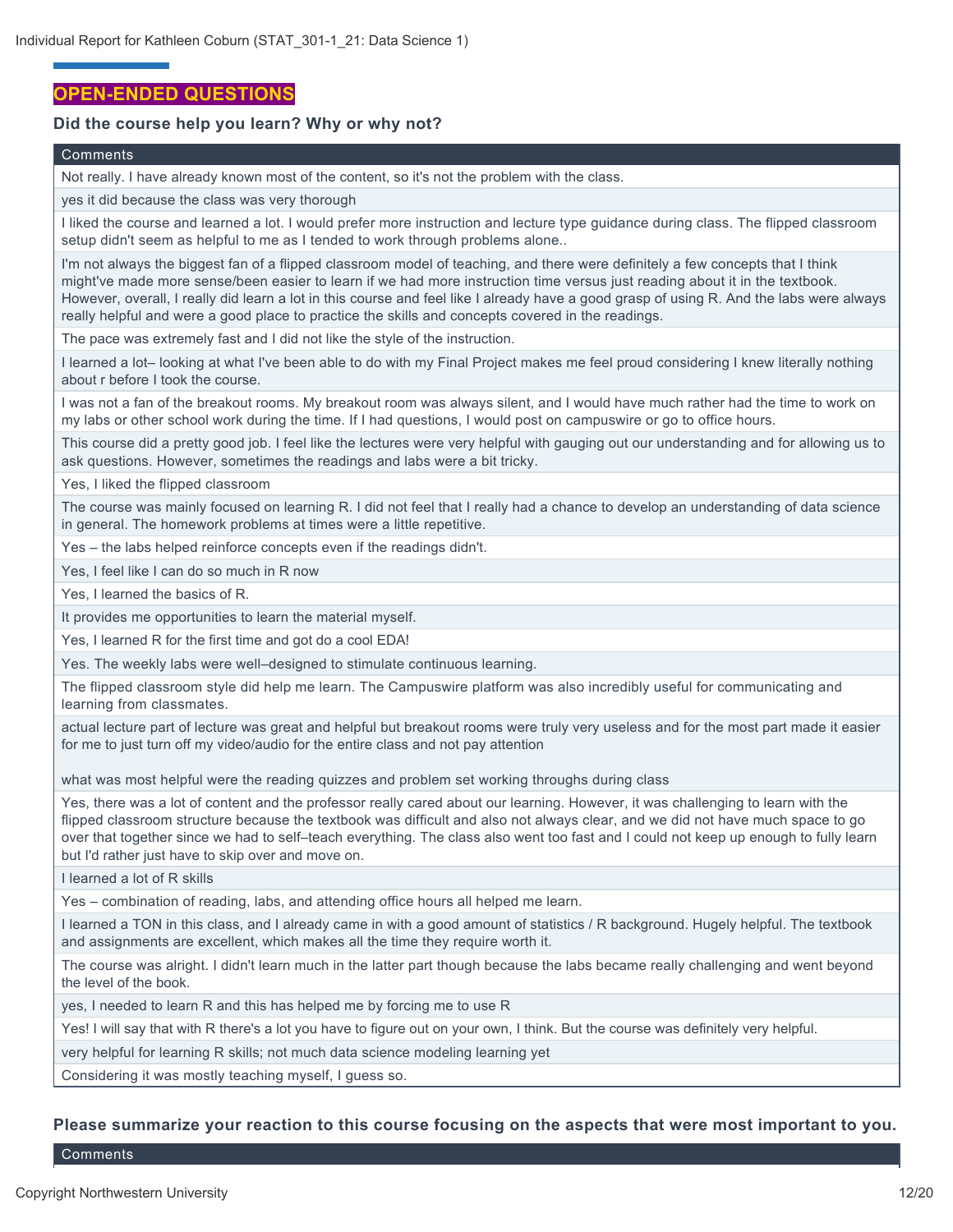## **OPEN-ENDED QUESTIONS**

#### **Did the course help you learn? Why or why not?**

#### **Comments**

Not really. I have already known most of the content, so it's not the problem with the class.

yes it did because the class was very thorough

I liked the course and learned a lot. I would prefer more instruction and lecture type guidance during class. The flipped classroom setup didn't seem as helpful to me as I tended to work through problems alone..

I'm not always the biggest fan of a flipped classroom model of teaching, and there were definitely a few concepts that I think might've made more sense/been easier to learn if we had more instruction time versus just reading about it in the textbook. However, overall, I really did learn a lot in this course and feel like I already have a good grasp of using R. And the labs were always really helpful and were a good place to practice the skills and concepts covered in the readings.

The pace was extremely fast and I did not like the style of the instruction.

I learned a lot– looking at what I've been able to do with my Final Project makes me feel proud considering I knew literally nothing about r before I took the course.

I was not a fan of the breakout rooms. My breakout room was always silent, and I would have much rather had the time to work on my labs or other school work during the time. If I had questions, I would post on campuswire or go to office hours.

This course did a pretty good job. I feel like the lectures were very helpful with gauging out our understanding and for allowing us to ask questions. However, sometimes the readings and labs were a bit tricky.

Yes, I liked the flipped classroom

The course was mainly focused on learning R. I did not feel that I really had a chance to develop an understanding of data science in general. The homework problems at times were a little repetitive.

Yes – the labs helped reinforce concepts even if the readings didn't.

Yes, I feel like I can do so much in R now

Yes, I learned the basics of R.

It provides me opportunities to learn the material myself.

Yes, I learned R for the first time and got do a cool EDA!

Yes. The weekly labs were well–designed to stimulate continuous learning.

The flipped classroom style did help me learn. The Campuswire platform was also incredibly useful for communicating and learning from classmates.

actual lecture part of lecture was great and helpful but breakout rooms were truly very useless and for the most part made it easier for me to just turn off my video/audio for the entire class and not pay attention

what was most helpful were the reading quizzes and problem set working throughs during class

Yes, there was a lot of content and the professor really cared about our learning. However, it was challenging to learn with the flipped classroom structure because the textbook was difficult and also not always clear, and we did not have much space to go over that together since we had to self–teach everything. The class also went too fast and I could not keep up enough to fully learn but I'd rather just have to skip over and move on.

I learned a lot of R skills

Yes – combination of reading, labs, and attending office hours all helped me learn.

I learned a TON in this class, and I already came in with a good amount of statistics / R background. Hugely helpful. The textbook and assignments are excellent, which makes all the time they require worth it.

The course was alright. I didn't learn much in the latter part though because the labs became really challenging and went beyond the level of the book.

yes, I needed to learn R and this has helped me by forcing me to use R

Yes! I will say that with R there's a lot you have to figure out on your own, I think. But the course was definitely very helpful.

very helpful for learning R skills; not much data science modeling learning yet

Considering it was mostly teaching myself, I guess so.

#### **Please summarize your reaction to this course focusing on the aspects that were most important to you.**

**Comments**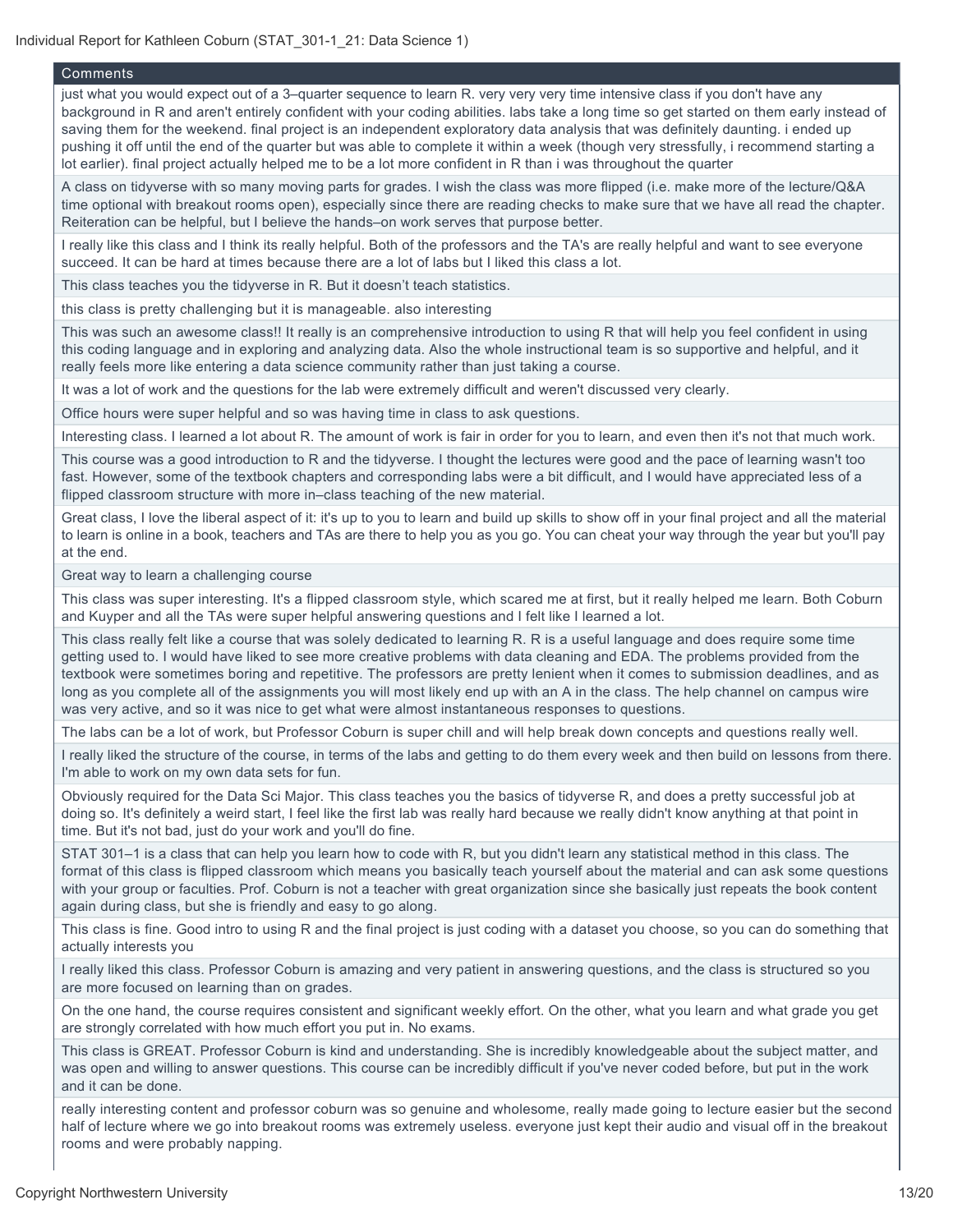#### **Comments**

just what you would expect out of a 3–quarter sequence to learn R. very very very time intensive class if you don't have any background in R and aren't entirely confident with your coding abilities. labs take a long time so get started on them early instead of saving them for the weekend. final project is an independent exploratory data analysis that was definitely daunting. i ended up pushing it off until the end of the quarter but was able to complete it within a week (though very stressfully, i recommend starting a lot earlier). final project actually helped me to be a lot more confident in R than i was throughout the quarter

A class on tidyverse with so many moving parts for grades. I wish the class was more flipped (i.e. make more of the lecture/Q&A time optional with breakout rooms open), especially since there are reading checks to make sure that we have all read the chapter. Reiteration can be helpful, but I believe the hands–on work serves that purpose better.

I really like this class and I think its really helpful. Both of the professors and the TA's are really helpful and want to see everyone succeed. It can be hard at times because there are a lot of labs but I liked this class a lot.

This class teaches you the tidyverse in R. But it doesn't teach statistics.

this class is pretty challenging but it is manageable. also interesting

This was such an awesome class!! It really is an comprehensive introduction to using R that will help you feel confident in using this coding language and in exploring and analyzing data. Also the whole instructional team is so supportive and helpful, and it really feels more like entering a data science community rather than just taking a course.

It was a lot of work and the questions for the lab were extremely difficult and weren't discussed very clearly.

Office hours were super helpful and so was having time in class to ask questions.

Interesting class. I learned a lot about R. The amount of work is fair in order for you to learn, and even then it's not that much work.

This course was a good introduction to R and the tidyverse. I thought the lectures were good and the pace of learning wasn't too fast. However, some of the textbook chapters and corresponding labs were a bit difficult, and I would have appreciated less of a flipped classroom structure with more in–class teaching of the new material.

Great class, I love the liberal aspect of it: it's up to you to learn and build up skills to show off in your final project and all the material to learn is online in a book, teachers and TAs are there to help you as you go. You can cheat your way through the year but you'll pay at the end.

Great way to learn a challenging course

This class was super interesting. It's a flipped classroom style, which scared me at first, but it really helped me learn. Both Coburn and Kuyper and all the TAs were super helpful answering questions and I felt like I learned a lot.

This class really felt like a course that was solely dedicated to learning R. R is a useful language and does require some time getting used to. I would have liked to see more creative problems with data cleaning and EDA. The problems provided from the textbook were sometimes boring and repetitive. The professors are pretty lenient when it comes to submission deadlines, and as long as you complete all of the assignments you will most likely end up with an A in the class. The help channel on campus wire was very active, and so it was nice to get what were almost instantaneous responses to questions.

The labs can be a lot of work, but Professor Coburn is super chill and will help break down concepts and questions really well.

I really liked the structure of the course, in terms of the labs and getting to do them every week and then build on lessons from there. I'm able to work on my own data sets for fun.

Obviously required for the Data Sci Major. This class teaches you the basics of tidyverse R, and does a pretty successful job at doing so. It's definitely a weird start, I feel like the first lab was really hard because we really didn't know anything at that point in time. But it's not bad, just do your work and you'll do fine.

STAT 301–1 is a class that can help you learn how to code with R, but you didn't learn any statistical method in this class. The format of this class is flipped classroom which means you basically teach yourself about the material and can ask some questions with your group or faculties. Prof. Coburn is not a teacher with great organization since she basically just repeats the book content again during class, but she is friendly and easy to go along.

This class is fine. Good intro to using R and the final project is just coding with a dataset you choose, so you can do something that actually interests you

I really liked this class. Professor Coburn is amazing and very patient in answering questions, and the class is structured so you are more focused on learning than on grades.

On the one hand, the course requires consistent and significant weekly effort. On the other, what you learn and what grade you get are strongly correlated with how much effort you put in. No exams.

This class is GREAT. Professor Coburn is kind and understanding. She is incredibly knowledgeable about the subject matter, and was open and willing to answer questions. This course can be incredibly difficult if you've never coded before, but put in the work and it can be done.

really interesting content and professor coburn was so genuine and wholesome, really made going to lecture easier but the second half of lecture where we go into breakout rooms was extremely useless. everyone just kept their audio and visual off in the breakout rooms and were probably napping.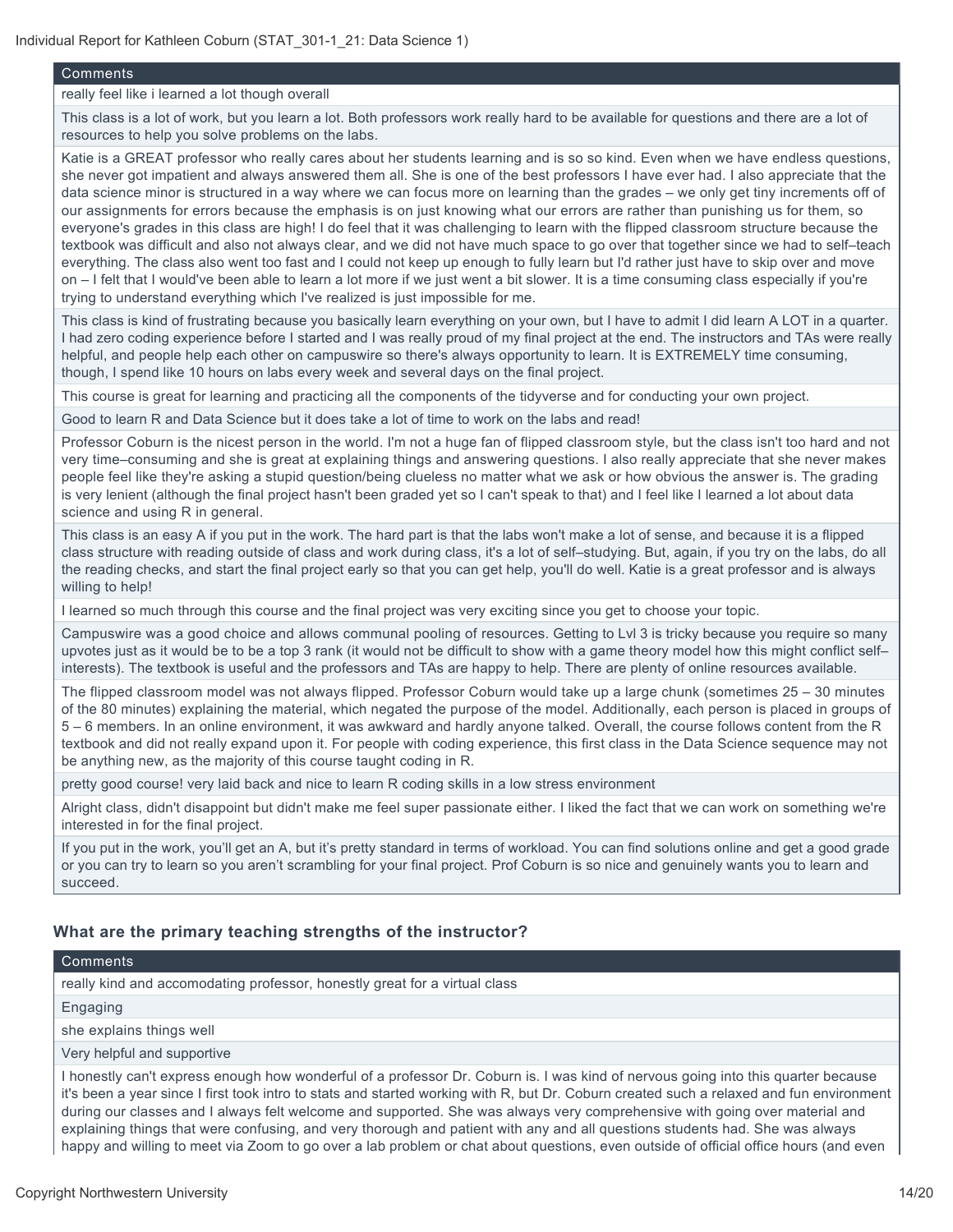#### **Comments**

#### really feel like i learned a lot though overall

This class is a lot of work, but you learn a lot. Both professors work really hard to be available for questions and there are a lot of resources to help you solve problems on the labs.

Katie is a GREAT professor who really cares about her students learning and is so so kind. Even when we have endless questions, she never got impatient and always answered them all. She is one of the best professors I have ever had. I also appreciate that the data science minor is structured in a way where we can focus more on learning than the grades – we only get tiny increments off of our assignments for errors because the emphasis is on just knowing what our errors are rather than punishing us for them, so everyone's grades in this class are high! I do feel that it was challenging to learn with the flipped classroom structure because the textbook was difficult and also not always clear, and we did not have much space to go over that together since we had to self–teach everything. The class also went too fast and I could not keep up enough to fully learn but I'd rather just have to skip over and move on – I felt that I would've been able to learn a lot more if we just went a bit slower. It is a time consuming class especially if you're trying to understand everything which I've realized is just impossible for me.

This class is kind of frustrating because you basically learn everything on your own, but I have to admit I did learn A LOT in a quarter. I had zero coding experience before I started and I was really proud of my final project at the end. The instructors and TAs were really helpful, and people help each other on campuswire so there's always opportunity to learn. It is EXTREMELY time consuming, though, I spend like 10 hours on labs every week and several days on the final project.

This course is great for learning and practicing all the components of the tidyverse and for conducting your own project.

Good to learn R and Data Science but it does take a lot of time to work on the labs and read!

Professor Coburn is the nicest person in the world. I'm not a huge fan of flipped classroom style, but the class isn't too hard and not very time–consuming and she is great at explaining things and answering questions. I also really appreciate that she never makes people feel like they're asking a stupid question/being clueless no matter what we ask or how obvious the answer is. The grading is very lenient (although the final project hasn't been graded yet so I can't speak to that) and I feel like I learned a lot about data science and using R in general.

This class is an easy A if you put in the work. The hard part is that the labs won't make a lot of sense, and because it is a flipped class structure with reading outside of class and work during class, it's a lot of self–studying. But, again, if you try on the labs, do all the reading checks, and start the final project early so that you can get help, you'll do well. Katie is a great professor and is always willing to help!

I learned so much through this course and the final project was very exciting since you get to choose your topic.

Campuswire was a good choice and allows communal pooling of resources. Getting to Lvl 3 is tricky because you require so many upvotes just as it would be to be a top 3 rank (it would not be difficult to show with a game theory model how this might conflict self– interests). The textbook is useful and the professors and TAs are happy to help. There are plenty of online resources available.

The flipped classroom model was not always flipped. Professor Coburn would take up a large chunk (sometimes 25 – 30 minutes of the 80 minutes) explaining the material, which negated the purpose of the model. Additionally, each person is placed in groups of 5 – 6 members. In an online environment, it was awkward and hardly anyone talked. Overall, the course follows content from the R textbook and did not really expand upon it. For people with coding experience, this first class in the Data Science sequence may not be anything new, as the majority of this course taught coding in R.

pretty good course! very laid back and nice to learn R coding skills in a low stress environment

Alright class, didn't disappoint but didn't make me feel super passionate either. I liked the fact that we can work on something we're interested in for the final project.

If you put in the work, you'll get an A, but it's pretty standard in terms of workload. You can find solutions online and get a good grade or you can try to learn so you aren't scrambling for your final project. Prof Coburn is so nice and genuinely wants you to learn and succeed.

#### **What are the primary teaching strengths of the instructor?**

#### Comments

really kind and accomodating professor, honestly great for a virtual class

#### Engaging

she explains things well

Very helpful and supportive

I honestly can't express enough how wonderful of a professor Dr. Coburn is. I was kind of nervous going into this quarter because it's been a year since I first took intro to stats and started working with R, but Dr. Coburn created such a relaxed and fun environment during our classes and I always felt welcome and supported. She was always very comprehensive with going over material and explaining things that were confusing, and very thorough and patient with any and all questions students had. She was always happy and willing to meet via Zoom to go over a lab problem or chat about questions, even outside of official office hours (and even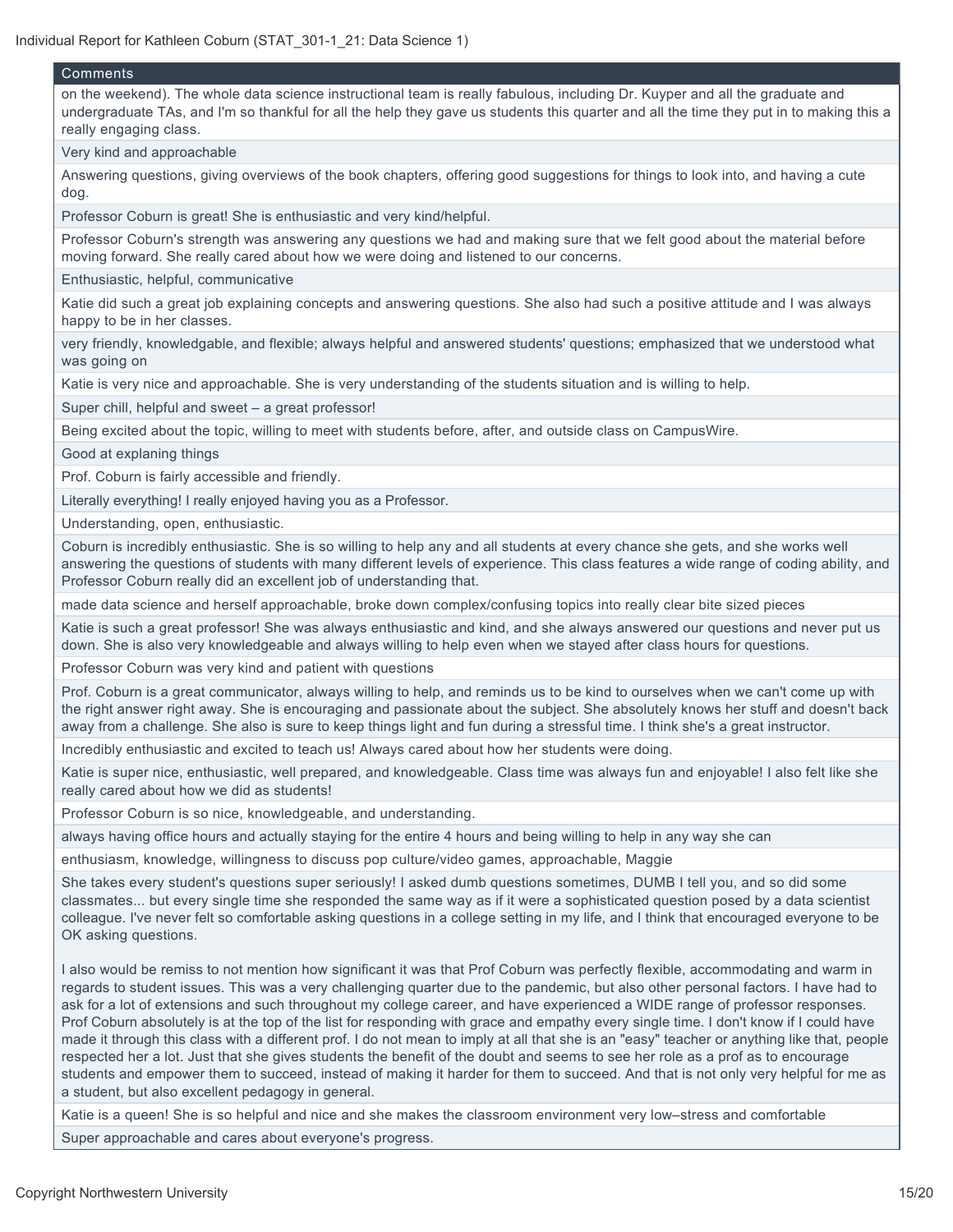| Comments                                                                                                                                                                                                                                                                                                                                                                                                                                                                                                                                                                                                                                                                                                                                                                                                                                                                                                                                                                                                                     |
|------------------------------------------------------------------------------------------------------------------------------------------------------------------------------------------------------------------------------------------------------------------------------------------------------------------------------------------------------------------------------------------------------------------------------------------------------------------------------------------------------------------------------------------------------------------------------------------------------------------------------------------------------------------------------------------------------------------------------------------------------------------------------------------------------------------------------------------------------------------------------------------------------------------------------------------------------------------------------------------------------------------------------|
| on the weekend). The whole data science instructional team is really fabulous, including Dr. Kuyper and all the graduate and<br>undergraduate TAs, and I'm so thankful for all the help they gave us students this quarter and all the time they put in to making this a<br>really engaging class.                                                                                                                                                                                                                                                                                                                                                                                                                                                                                                                                                                                                                                                                                                                           |
| Very kind and approachable                                                                                                                                                                                                                                                                                                                                                                                                                                                                                                                                                                                                                                                                                                                                                                                                                                                                                                                                                                                                   |
| Answering questions, giving overviews of the book chapters, offering good suggestions for things to look into, and having a cute<br>dog.                                                                                                                                                                                                                                                                                                                                                                                                                                                                                                                                                                                                                                                                                                                                                                                                                                                                                     |
| Professor Coburn is great! She is enthusiastic and very kind/helpful.                                                                                                                                                                                                                                                                                                                                                                                                                                                                                                                                                                                                                                                                                                                                                                                                                                                                                                                                                        |
| Professor Coburn's strength was answering any questions we had and making sure that we felt good about the material before<br>moving forward. She really cared about how we were doing and listened to our concerns.                                                                                                                                                                                                                                                                                                                                                                                                                                                                                                                                                                                                                                                                                                                                                                                                         |
| Enthusiastic, helpful, communicative                                                                                                                                                                                                                                                                                                                                                                                                                                                                                                                                                                                                                                                                                                                                                                                                                                                                                                                                                                                         |
| Katie did such a great job explaining concepts and answering questions. She also had such a positive attitude and I was always<br>happy to be in her classes.                                                                                                                                                                                                                                                                                                                                                                                                                                                                                                                                                                                                                                                                                                                                                                                                                                                                |
| very friendly, knowledgable, and flexible; always helpful and answered students' questions; emphasized that we understood what<br>was going on                                                                                                                                                                                                                                                                                                                                                                                                                                                                                                                                                                                                                                                                                                                                                                                                                                                                               |
| Katie is very nice and approachable. She is very understanding of the students situation and is willing to help.                                                                                                                                                                                                                                                                                                                                                                                                                                                                                                                                                                                                                                                                                                                                                                                                                                                                                                             |
| Super chill, helpful and sweet - a great professor!                                                                                                                                                                                                                                                                                                                                                                                                                                                                                                                                                                                                                                                                                                                                                                                                                                                                                                                                                                          |
| Being excited about the topic, willing to meet with students before, after, and outside class on CampusWire.                                                                                                                                                                                                                                                                                                                                                                                                                                                                                                                                                                                                                                                                                                                                                                                                                                                                                                                 |
| Good at explaning things                                                                                                                                                                                                                                                                                                                                                                                                                                                                                                                                                                                                                                                                                                                                                                                                                                                                                                                                                                                                     |
| Prof. Coburn is fairly accessible and friendly.                                                                                                                                                                                                                                                                                                                                                                                                                                                                                                                                                                                                                                                                                                                                                                                                                                                                                                                                                                              |
| Literally everything! I really enjoyed having you as a Professor.                                                                                                                                                                                                                                                                                                                                                                                                                                                                                                                                                                                                                                                                                                                                                                                                                                                                                                                                                            |
| Understanding, open, enthusiastic.                                                                                                                                                                                                                                                                                                                                                                                                                                                                                                                                                                                                                                                                                                                                                                                                                                                                                                                                                                                           |
| Coburn is incredibly enthusiastic. She is so willing to help any and all students at every chance she gets, and she works well<br>answering the questions of students with many different levels of experience. This class features a wide range of coding ability, and<br>Professor Coburn really did an excellent job of understanding that.                                                                                                                                                                                                                                                                                                                                                                                                                                                                                                                                                                                                                                                                               |
| made data science and herself approachable, broke down complex/confusing topics into really clear bite sized pieces                                                                                                                                                                                                                                                                                                                                                                                                                                                                                                                                                                                                                                                                                                                                                                                                                                                                                                          |
| Katie is such a great professor! She was always enthusiastic and kind, and she always answered our questions and never put us<br>down. She is also very knowledgeable and always willing to help even when we stayed after class hours for questions.                                                                                                                                                                                                                                                                                                                                                                                                                                                                                                                                                                                                                                                                                                                                                                        |
| Professor Coburn was very kind and patient with questions                                                                                                                                                                                                                                                                                                                                                                                                                                                                                                                                                                                                                                                                                                                                                                                                                                                                                                                                                                    |
| Prof. Coburn is a great communicator, always willing to help, and reminds us to be kind to ourselves when we can't come up with<br>the right answer right away. She is encouraging and passionate about the subject. She absolutely knows her stuff and doesn't back<br>away from a challenge. She also is sure to keep things light and fun during a stressful time. I think she's a great instructor.                                                                                                                                                                                                                                                                                                                                                                                                                                                                                                                                                                                                                      |
| Incredibly enthusiastic and excited to teach us! Always cared about how her students were doing.                                                                                                                                                                                                                                                                                                                                                                                                                                                                                                                                                                                                                                                                                                                                                                                                                                                                                                                             |
| Katie is super nice, enthusiastic, well prepared, and knowledgeable. Class time was always fun and enjoyable! I also felt like she<br>really cared about how we did as students!                                                                                                                                                                                                                                                                                                                                                                                                                                                                                                                                                                                                                                                                                                                                                                                                                                             |
| Professor Coburn is so nice, knowledgeable, and understanding.                                                                                                                                                                                                                                                                                                                                                                                                                                                                                                                                                                                                                                                                                                                                                                                                                                                                                                                                                               |
| always having office hours and actually staying for the entire 4 hours and being willing to help in any way she can                                                                                                                                                                                                                                                                                                                                                                                                                                                                                                                                                                                                                                                                                                                                                                                                                                                                                                          |
| enthusiasm, knowledge, willingness to discuss pop culture/video games, approachable, Maggie                                                                                                                                                                                                                                                                                                                                                                                                                                                                                                                                                                                                                                                                                                                                                                                                                                                                                                                                  |
| She takes every student's questions super seriously! I asked dumb questions sometimes, DUMB I tell you, and so did some<br>classmates but every single time she responded the same way as if it were a sophisticated question posed by a data scientist<br>colleague. I've never felt so comfortable asking questions in a college setting in my life, and I think that encouraged everyone to be<br>OK asking questions.                                                                                                                                                                                                                                                                                                                                                                                                                                                                                                                                                                                                    |
| I also would be remiss to not mention how significant it was that Prof Coburn was perfectly flexible, accommodating and warm in<br>regards to student issues. This was a very challenging quarter due to the pandemic, but also other personal factors. I have had to<br>ask for a lot of extensions and such throughout my college career, and have experienced a WIDE range of professor responses.<br>Prof Coburn absolutely is at the top of the list for responding with grace and empathy every single time. I don't know if I could have<br>made it through this class with a different prof. I do not mean to imply at all that she is an "easy" teacher or anything like that, people<br>respected her a lot. Just that she gives students the benefit of the doubt and seems to see her role as a prof as to encourage<br>students and empower them to succeed, instead of making it harder for them to succeed. And that is not only very helpful for me as<br>a student, but also excellent pedagogy in general. |
| Katie is a queen! She is so helpful and nice and she makes the classroom environment very low-stress and comfortable                                                                                                                                                                                                                                                                                                                                                                                                                                                                                                                                                                                                                                                                                                                                                                                                                                                                                                         |
| Super approachable and cares about everyone's progress.                                                                                                                                                                                                                                                                                                                                                                                                                                                                                                                                                                                                                                                                                                                                                                                                                                                                                                                                                                      |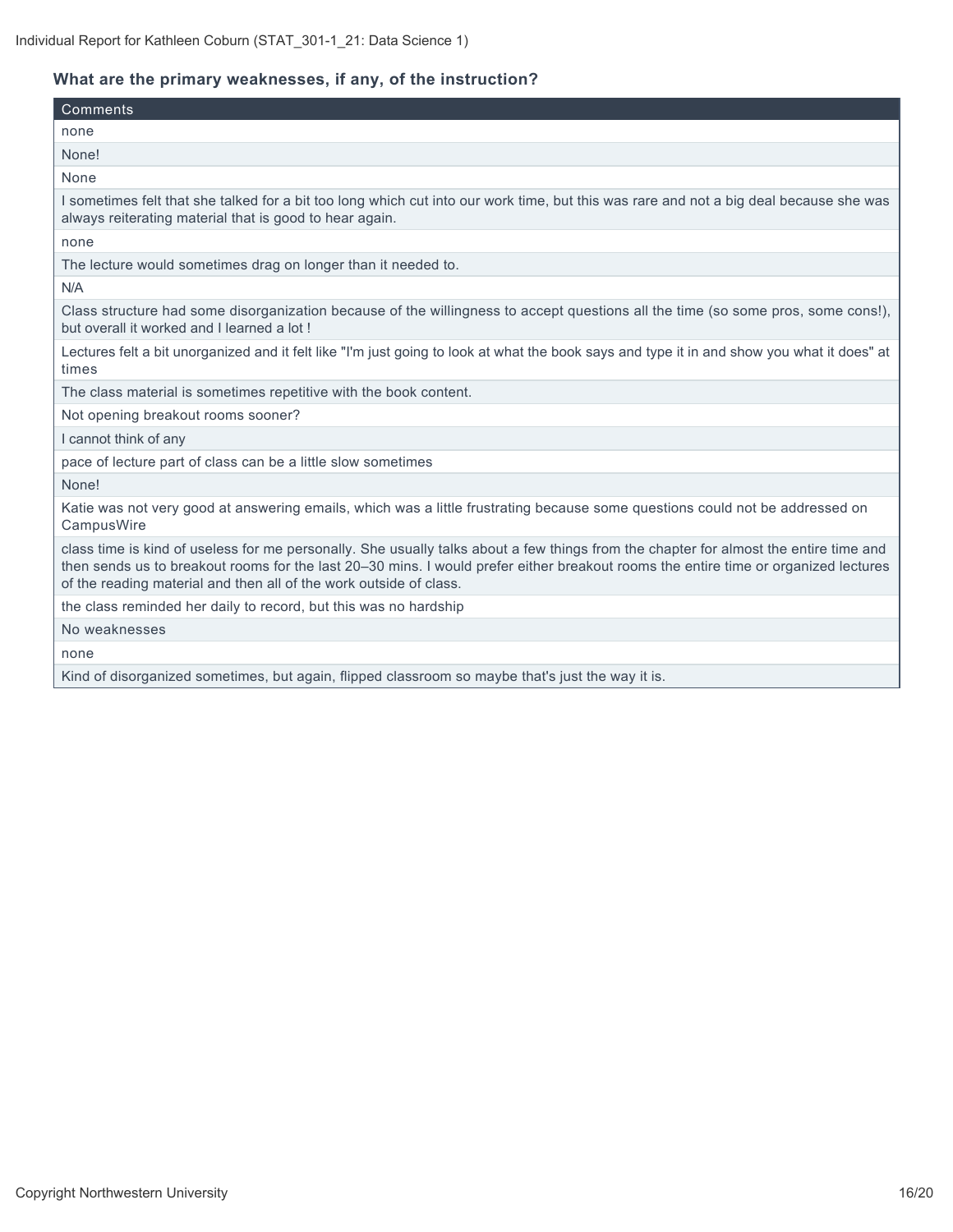## **What are the primary weaknesses, if any, of the instruction?**

| Comments                                                                                                                                                                                                                                                                                                                                           |
|----------------------------------------------------------------------------------------------------------------------------------------------------------------------------------------------------------------------------------------------------------------------------------------------------------------------------------------------------|
| none                                                                                                                                                                                                                                                                                                                                               |
| None!                                                                                                                                                                                                                                                                                                                                              |
| None                                                                                                                                                                                                                                                                                                                                               |
| I sometimes felt that she talked for a bit too long which cut into our work time, but this was rare and not a big deal because she was<br>always reiterating material that is good to hear again.                                                                                                                                                  |
| none                                                                                                                                                                                                                                                                                                                                               |
| The lecture would sometimes drag on longer than it needed to.                                                                                                                                                                                                                                                                                      |
| N/A                                                                                                                                                                                                                                                                                                                                                |
| Class structure had some disorganization because of the willingness to accept questions all the time (so some pros, some cons!),<br>but overall it worked and I learned a lot!                                                                                                                                                                     |
| Lectures felt a bit unorganized and it felt like "I'm just going to look at what the book says and type it in and show you what it does" at<br>times                                                                                                                                                                                               |
| The class material is sometimes repetitive with the book content.                                                                                                                                                                                                                                                                                  |
| Not opening breakout rooms sooner?                                                                                                                                                                                                                                                                                                                 |
| I cannot think of any                                                                                                                                                                                                                                                                                                                              |
| pace of lecture part of class can be a little slow sometimes                                                                                                                                                                                                                                                                                       |
| None!                                                                                                                                                                                                                                                                                                                                              |
| Katie was not very good at answering emails, which was a little frustrating because some questions could not be addressed on<br>CampusWire                                                                                                                                                                                                         |
| class time is kind of useless for me personally. She usually talks about a few things from the chapter for almost the entire time and<br>then sends us to breakout rooms for the last 20–30 mins. I would prefer either breakout rooms the entire time or organized lectures<br>of the reading material and then all of the work outside of class. |
| the class reminded her daily to record, but this was no hardship                                                                                                                                                                                                                                                                                   |
| No weaknesses                                                                                                                                                                                                                                                                                                                                      |
| none                                                                                                                                                                                                                                                                                                                                               |
| Kind of disorganized sometimes, but again, flipped classroom so maybe that's just the way it is.                                                                                                                                                                                                                                                   |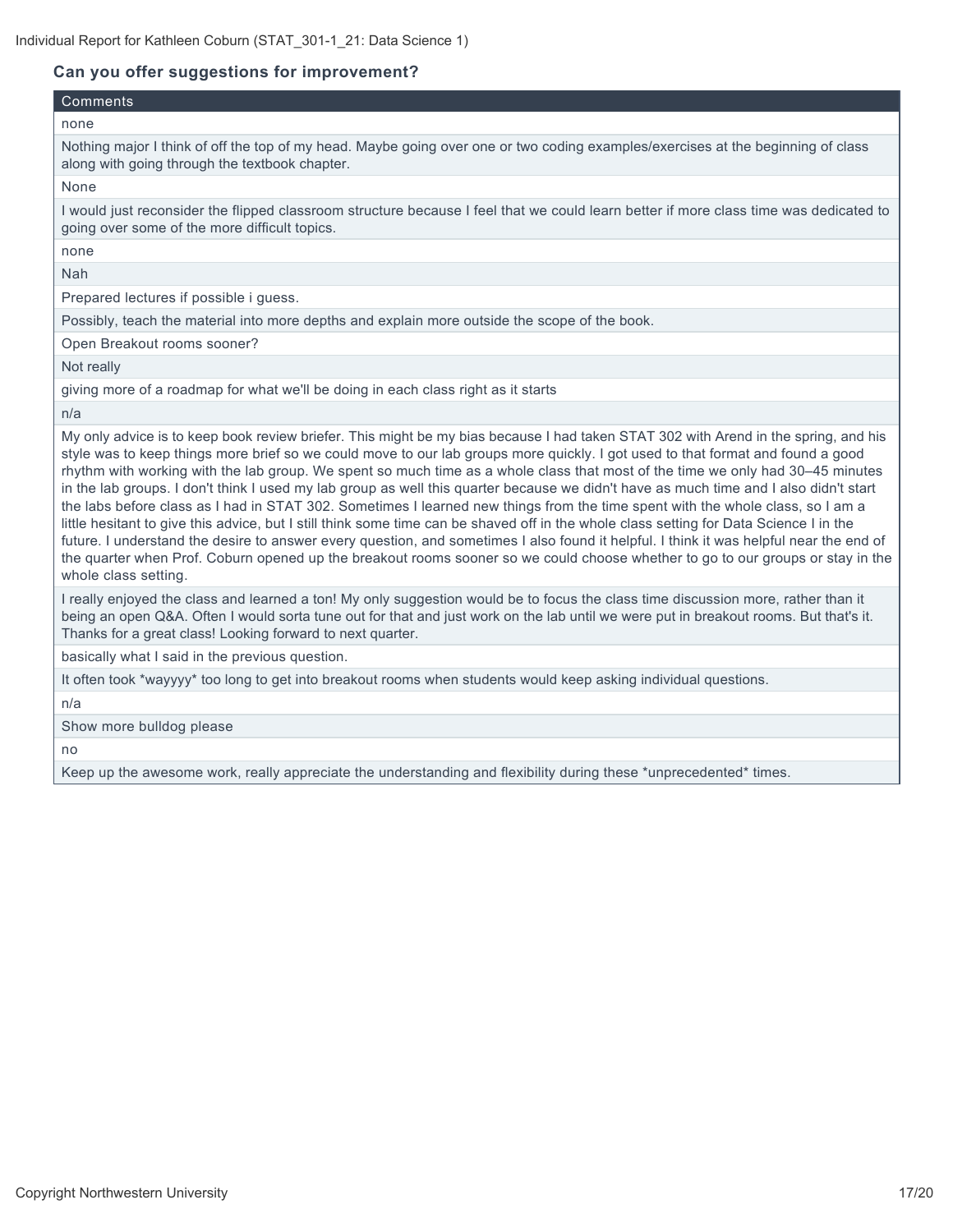#### **Can you offer suggestions for improvement?**

### Comments

none

Nothing major I think of off the top of my head. Maybe going over one or two coding examples/exercises at the beginning of class along with going through the textbook chapter.

None

I would just reconsider the flipped classroom structure because I feel that we could learn better if more class time was dedicated to going over some of the more difficult topics.

none

Nah

Prepared lectures if possible i guess.

Possibly, teach the material into more depths and explain more outside the scope of the book.

Open Breakout rooms sooner?

Not really

giving more of a roadmap for what we'll be doing in each class right as it starts

n/a

My only advice is to keep book review briefer. This might be my bias because I had taken STAT 302 with Arend in the spring, and his style was to keep things more brief so we could move to our lab groups more quickly. I got used to that format and found a good rhythm with working with the lab group. We spent so much time as a whole class that most of the time we only had 30–45 minutes in the lab groups. I don't think I used my lab group as well this quarter because we didn't have as much time and I also didn't start the labs before class as I had in STAT 302. Sometimes I learned new things from the time spent with the whole class, so I am a little hesitant to give this advice, but I still think some time can be shaved off in the whole class setting for Data Science I in the future. I understand the desire to answer every question, and sometimes I also found it helpful. I think it was helpful near the end of the quarter when Prof. Coburn opened up the breakout rooms sooner so we could choose whether to go to our groups or stay in the whole class setting.

I really enjoyed the class and learned a ton! My only suggestion would be to focus the class time discussion more, rather than it being an open Q&A. Often I would sorta tune out for that and just work on the lab until we were put in breakout rooms. But that's it. Thanks for a great class! Looking forward to next quarter.

basically what I said in the previous question.

It often took \*wayyyy\* too long to get into breakout rooms when students would keep asking individual questions.

n/a

Show more bulldog please

no

Keep up the awesome work, really appreciate the understanding and flexibility during these \*unprecedented\* times.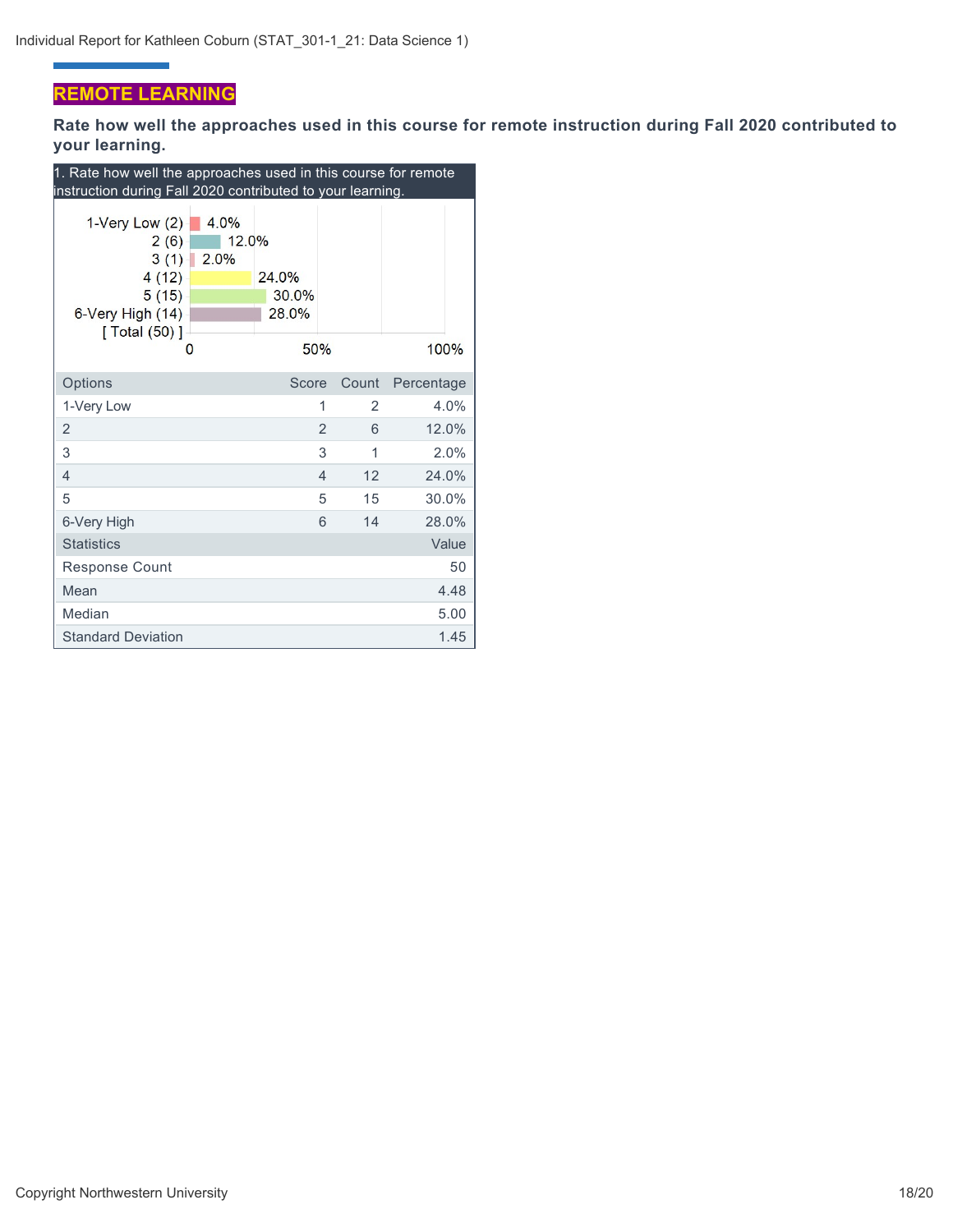## **REMOTE LEARNING**

÷

**Rate how well the approaches used in this course for remote instruction during Fall 2020 contributed to your learning.**

| 1. Rate how well the approaches used in this course for remote<br>instruction during Fall 2020 contributed to your learning. |                                  |                |       |            |  |  |  |
|------------------------------------------------------------------------------------------------------------------------------|----------------------------------|----------------|-------|------------|--|--|--|
| 4.0%<br>1-Very Low $(2)$<br>2(6)<br>3(1)<br>2.0%<br>4(12)<br>5(15)<br>6-Very High (14)<br>[ Total $(50)$ ]<br>O              | 12.0%<br>24.0%<br>30.0%<br>28.0% | 50%            |       | 100%       |  |  |  |
| Options                                                                                                                      | Score                            |                | Count | Percentage |  |  |  |
| 1-Very Low                                                                                                                   |                                  | 1              | 2     | 4.0%       |  |  |  |
| 2                                                                                                                            |                                  | $\overline{2}$ | 6     | 12.0%      |  |  |  |
| 3                                                                                                                            |                                  | 3              | 1     | 2.0%       |  |  |  |
| $\overline{4}$                                                                                                               |                                  | $\overline{4}$ | 12    | 24.0%      |  |  |  |
| 5                                                                                                                            |                                  | 5              | 15    | 30.0%      |  |  |  |
| 6-Very High                                                                                                                  |                                  | 6              | 14    | 28.0%      |  |  |  |
| <b>Statistics</b>                                                                                                            |                                  |                |       | Value      |  |  |  |
| <b>Response Count</b>                                                                                                        |                                  |                |       | 50         |  |  |  |
| Mean                                                                                                                         |                                  |                |       | 4.48       |  |  |  |
| Median                                                                                                                       |                                  |                |       | 5.00       |  |  |  |
| <b>Standard Deviation</b>                                                                                                    |                                  |                |       | 1.45       |  |  |  |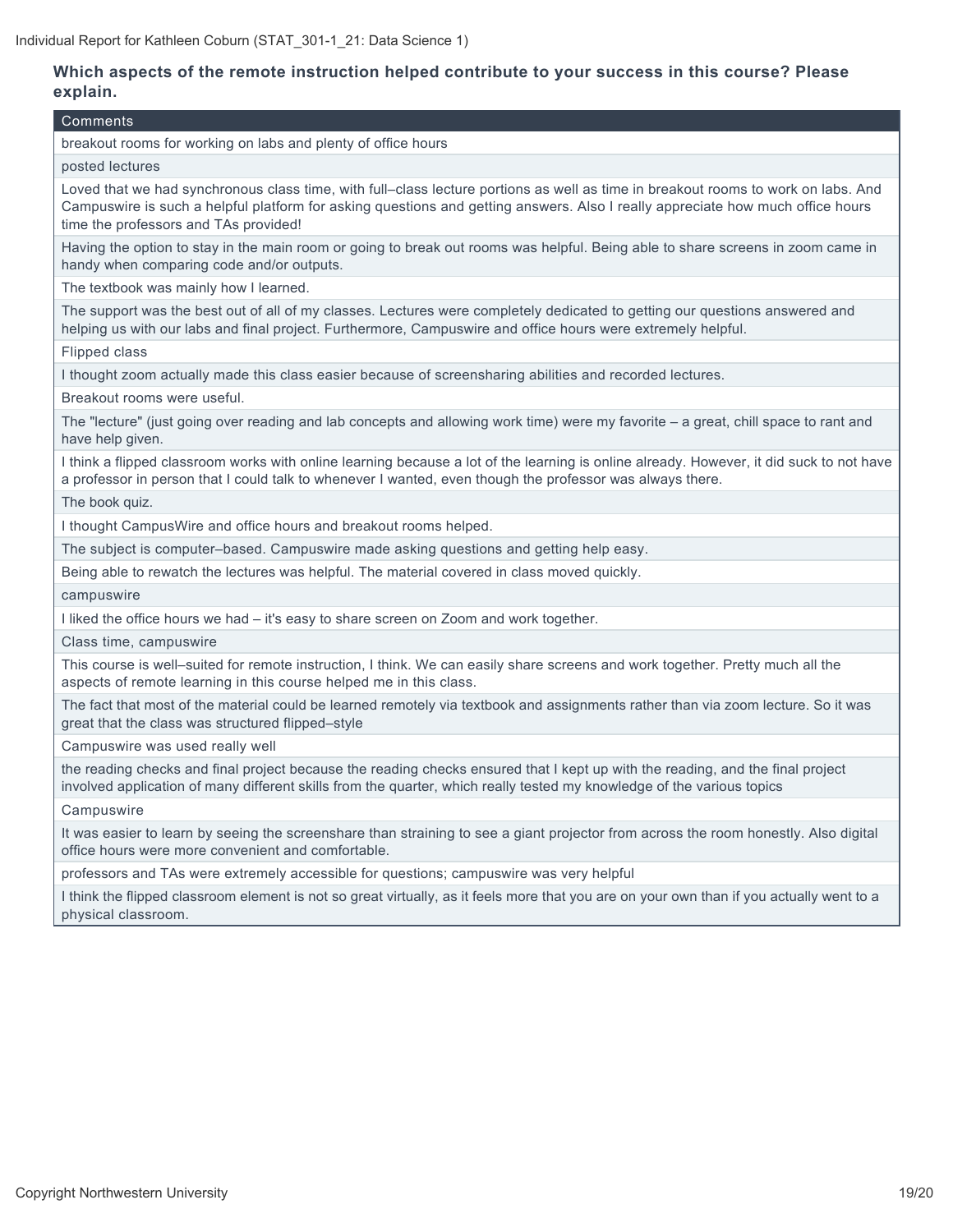## **Which aspects of the remote instruction helped contribute to your success in this course? Please explain.**

#### Comments

breakout rooms for working on labs and plenty of office hours

#### posted lectures

Loved that we had synchronous class time, with full–class lecture portions as well as time in breakout rooms to work on labs. And Campuswire is such a helpful platform for asking questions and getting answers. Also I really appreciate how much office hours time the professors and TAs provided!

Having the option to stay in the main room or going to break out rooms was helpful. Being able to share screens in zoom came in handy when comparing code and/or outputs.

The textbook was mainly how I learned.

The support was the best out of all of my classes. Lectures were completely dedicated to getting our questions answered and helping us with our labs and final project. Furthermore, Campuswire and office hours were extremely helpful.

Flipped class

I thought zoom actually made this class easier because of screensharing abilities and recorded lectures.

Breakout rooms were useful.

The "lecture" (just going over reading and lab concepts and allowing work time) were my favorite – a great, chill space to rant and have help given.

I think a flipped classroom works with online learning because a lot of the learning is online already. However, it did suck to not have a professor in person that I could talk to whenever I wanted, even though the professor was always there.

The book quiz.

I thought CampusWire and office hours and breakout rooms helped.

The subject is computer–based. Campuswire made asking questions and getting help easy.

Being able to rewatch the lectures was helpful. The material covered in class moved quickly.

campuswire

I liked the office hours we had – it's easy to share screen on Zoom and work together.

Class time, campuswire

This course is well–suited for remote instruction, I think. We can easily share screens and work together. Pretty much all the aspects of remote learning in this course helped me in this class.

The fact that most of the material could be learned remotely via textbook and assignments rather than via zoom lecture. So it was great that the class was structured flipped–style

Campuswire was used really well

the reading checks and final project because the reading checks ensured that I kept up with the reading, and the final project involved application of many different skills from the quarter, which really tested my knowledge of the various topics

**Campuswire** 

It was easier to learn by seeing the screenshare than straining to see a giant projector from across the room honestly. Also digital office hours were more convenient and comfortable.

professors and TAs were extremely accessible for questions; campuswire was very helpful

I think the flipped classroom element is not so great virtually, as it feels more that you are on your own than if you actually went to a physical classroom.